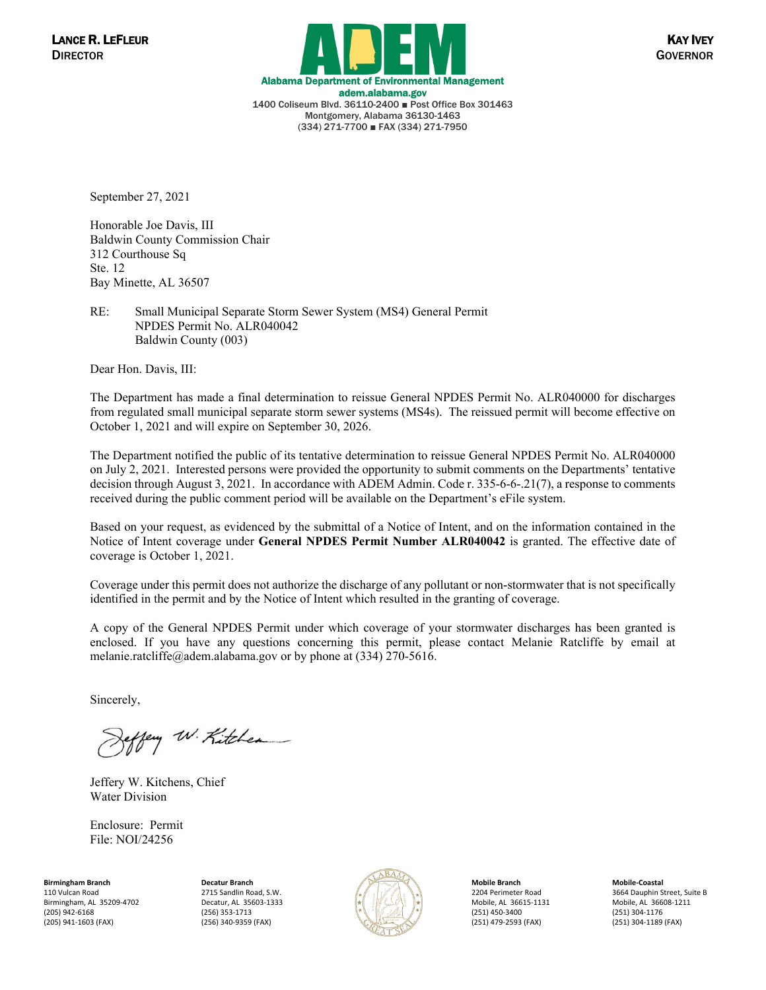

September 27, 2021

Honorable Joe Davis, III Baldwin County Commission Chair 312 Courthouse Sq Ste. 12 Bay Minette, AL 36507

RE: Small Municipal Separate Storm Sewer System (MS4) General Permit NPDES Permit No. ALR040042 Baldwin County (003)

Dear Hon. Davis, III:

The Department has made a final determination to reissue General NPDES Permit No. ALR040000 for discharges from regulated small municipal separate storm sewer systems (MS4s). The reissued permit will become effective on October 1, 2021 and will expire on September 30, 2026.

The Department notified the public of its tentative determination to reissue General NPDES Permit No. ALR040000 on July 2, 2021. Interested persons were provided the opportunity to submit comments on the Departments' tentative decision through August 3, 2021. In accordance with ADEM Admin. Code r. 335-6-6-.21(7), a response to comments received during the public comment period will be available on the Department's eFile system.

Based on your request, as evidenced by the submittal of a Notice of Intent, and on the information contained in the Notice of Intent coverage under **General NPDES Permit Number ALR040042** is granted. The effective date of coverage is October 1, 2021.

Coverage under this permit does not authorize the discharge of any pollutant or non-stormwater that is not specifically identified in the permit and by the Notice of Intent which resulted in the granting of coverage.

A copy of the General NPDES Permit under which coverage of your stormwater discharges has been granted is enclosed. If you have any questions concerning this permit, please contact Melanie Ratcliffe by email at melanie.ratcliffe@adem.alabama.gov or by phone at (334) 270-5616.

Sincerely,

ffery W. Kitchen

Jeffery W. Kitchens, Chief Water Division

Enclosure: Permit File: NOI/24256

**Birmingham Branch** 110 Vulcan Road Birmingham, AL 35209-4702 (205) 942-6168 (205) 941-1603 (FAX)

**Decatur Branch** 2715 Sandlin Road, S.W. Decatur, AL 35603-1333 (256) 353-1713 (256) 340-9359 (FAX)



**Mobile Branch** 2204 Perimeter Road Mobile, AL 36615-1131 (251) 450-3400 (251) 479-2593 (FAX)

**Mobile-Coastal** 3664 Dauphin Street, Suite B Mobile, AL 36608-1211 (251) 304-1176 (251) 304-1189 (FAX)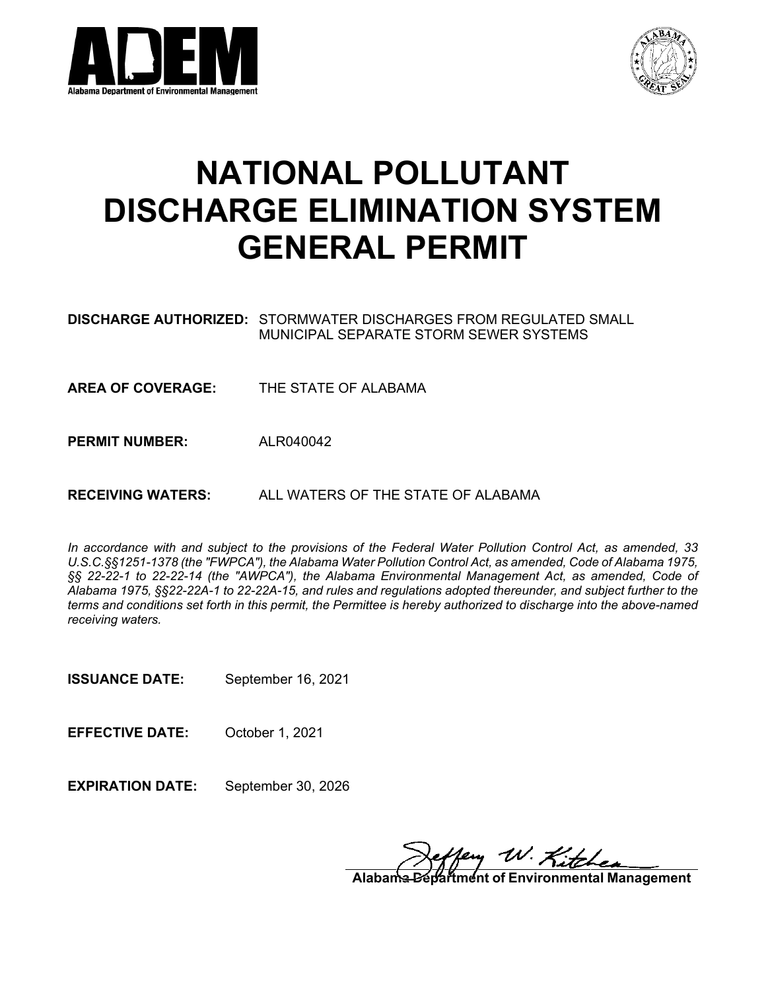



# **NATIONAL POLLUTANT DISCHARGE ELIMINATION SYSTEM GENERAL PERMIT**

| <b>DISCHARGE AUTHORIZED:</b> STORMWATER DISCHARGES FROM REGULATED SMALL |
|-------------------------------------------------------------------------|
| MUNICIPAL SEPARATE STORM SEWER SYSTEMS                                  |

**AREA OF COVERAGE:** THE STATE OF ALABAMA

**PERMIT NUMBER:** ALR040042

**RECEIVING WATERS:** ALL WATERS OF THE STATE OF ALABAMA

*In accordance with and subject to the provisions of the Federal Water Pollution Control Act, as amended, 33 U.S.C.§§1251-1378 (the "FWPCA"), the Alabama Water Pollution Control Act, as amended, Code of Alabama 1975, §§ 22-22-1 to 22-22-14 (the "AWPCA"), the Alabama Environmental Management Act, as amended, Code of Alabama 1975, §§22-22A-1 to 22-22A-15, and rules and regulations adopted thereunder, and subject further to the terms and conditions set forth in this permit, the Permittee is hereby authorized to discharge into the above-named receiving waters.*

**ISSUANCE DATE:** September 16, 2021

**EFFECTIVE DATE:** October 1, 2021

**EXPIRATION DATE:** September 30, 2026

**Alabama W. Kitchen**<br>Partment of Environmental Management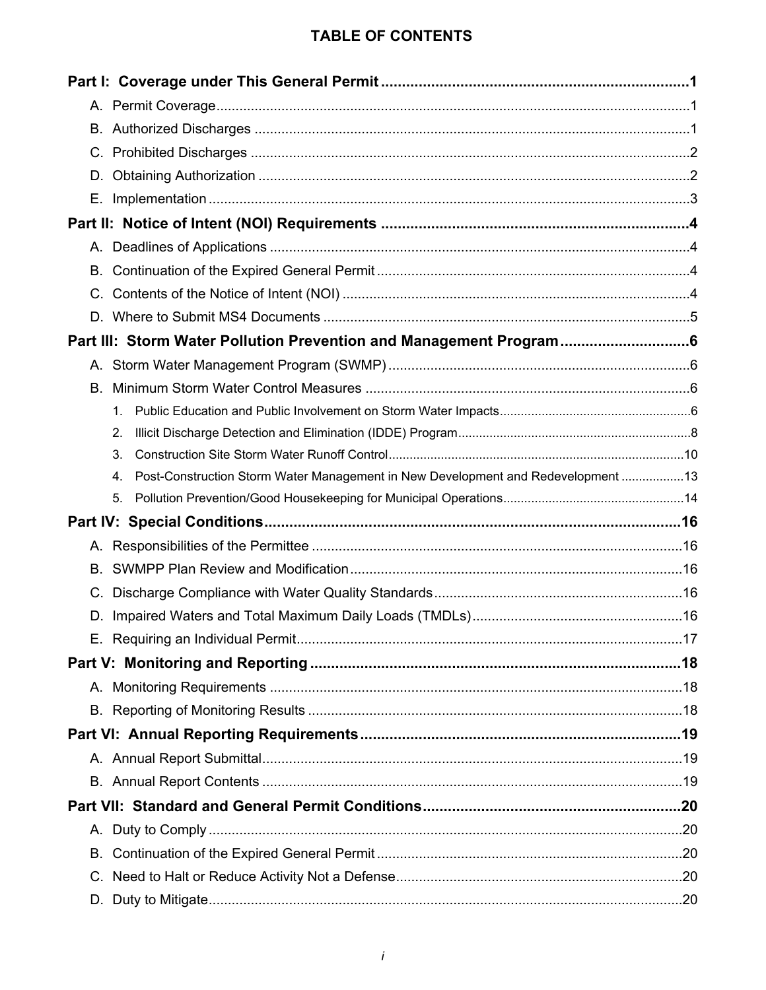# **TABLE OF CONTENTS**

| Е. |                                                                                        |  |  |
|----|----------------------------------------------------------------------------------------|--|--|
|    |                                                                                        |  |  |
|    |                                                                                        |  |  |
|    |                                                                                        |  |  |
|    |                                                                                        |  |  |
|    |                                                                                        |  |  |
|    | Part III: Storm Water Pollution Prevention and Management Program                      |  |  |
|    |                                                                                        |  |  |
| В. |                                                                                        |  |  |
|    | $1_{-}$                                                                                |  |  |
|    | 2.                                                                                     |  |  |
|    | 3.                                                                                     |  |  |
|    | Post-Construction Storm Water Management in New Development and Redevelopment 13<br>4. |  |  |
|    | 5.                                                                                     |  |  |
|    |                                                                                        |  |  |
|    |                                                                                        |  |  |
| В. |                                                                                        |  |  |
|    |                                                                                        |  |  |
|    |                                                                                        |  |  |
|    |                                                                                        |  |  |
|    |                                                                                        |  |  |
|    |                                                                                        |  |  |
|    |                                                                                        |  |  |
|    |                                                                                        |  |  |
|    |                                                                                        |  |  |
|    |                                                                                        |  |  |
|    |                                                                                        |  |  |
|    |                                                                                        |  |  |
|    |                                                                                        |  |  |
|    |                                                                                        |  |  |
|    |                                                                                        |  |  |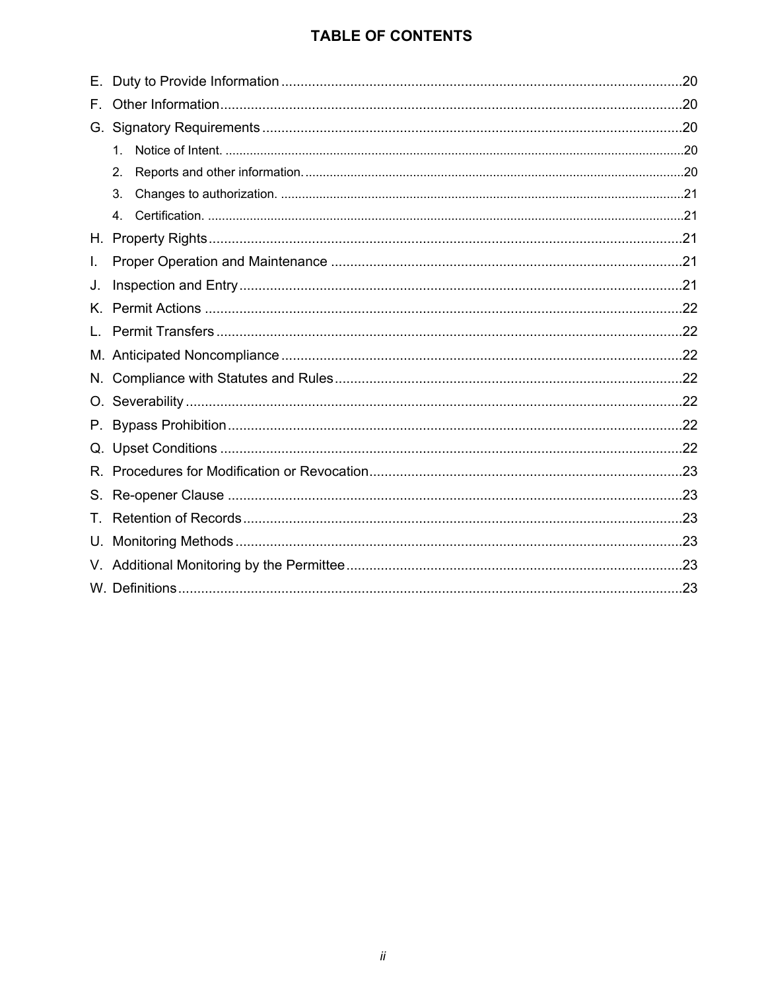# **TABLE OF CONTENTS**

| Е.  |                |  |
|-----|----------------|--|
| F., |                |  |
| G.  |                |  |
|     | $1_{-}$        |  |
|     | 2.             |  |
|     | 3.             |  |
|     | 4 <sub>1</sub> |  |
|     |                |  |
| I.  |                |  |
| J.  |                |  |
| Κ.  |                |  |
|     |                |  |
|     |                |  |
| N.  |                |  |
| O.  |                |  |
|     |                |  |
| Q.  |                |  |
| R.  |                |  |
|     |                |  |
| Τ.  |                |  |
| U.  |                |  |
|     |                |  |
|     |                |  |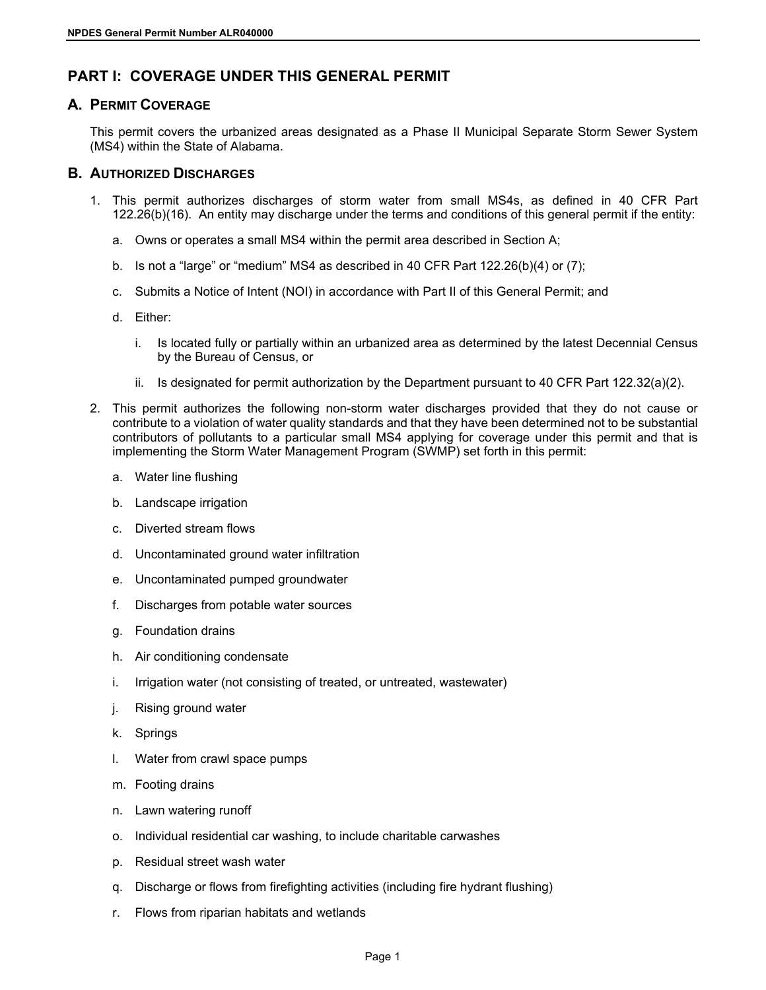# <span id="page-4-0"></span>**PART I: COVERAGE UNDER THIS GENERAL PERMIT**

# <span id="page-4-1"></span>**A. PERMIT COVERAGE**

This permit covers the urbanized areas designated as a Phase II Municipal Separate Storm Sewer System (MS4) within the State of Alabama.

### <span id="page-4-2"></span>**B. AUTHORIZED DISCHARGES**

- 1. This permit authorizes discharges of storm water from small MS4s, as defined in 40 CFR Part 122.26(b)(16). An entity may discharge under the terms and conditions of this general permit if the entity:
	- a. Owns or operates a small MS4 within the permit area described in Section A;
	- b. Is not a "large" or "medium" MS4 as described in 40 CFR Part  $122.26(b)(4)$  or  $(7)$ ;
	- c. Submits a Notice of Intent (NOI) in accordance with Part II of this General Permit; and
	- d. Either:
		- i. Is located fully or partially within an urbanized area as determined by the latest Decennial Census by the Bureau of Census, or
		- ii. Is designated for permit authorization by the Department pursuant to 40 CFR Part  $122.32(a)(2)$ .
- 2. This permit authorizes the following non-storm water discharges provided that they do not cause or contribute to a violation of water quality standards and that they have been determined not to be substantial contributors of pollutants to a particular small MS4 applying for coverage under this permit and that is implementing the Storm Water Management Program (SWMP) set forth in this permit:
	- a. Water line flushing
	- b. Landscape irrigation
	- c. Diverted stream flows
	- d. Uncontaminated ground water infiltration
	- e. Uncontaminated pumped groundwater
	- f. Discharges from potable water sources
	- g. Foundation drains
	- h. Air conditioning condensate
	- i. Irrigation water (not consisting of treated, or untreated, wastewater)
	- j. Rising ground water
	- k. Springs
	- l. Water from crawl space pumps
	- m. Footing drains
	- n. Lawn watering runoff
	- o. Individual residential car washing, to include charitable carwashes
	- p. Residual street wash water
	- q. Discharge or flows from firefighting activities (including fire hydrant flushing)
	- r. Flows from riparian habitats and wetlands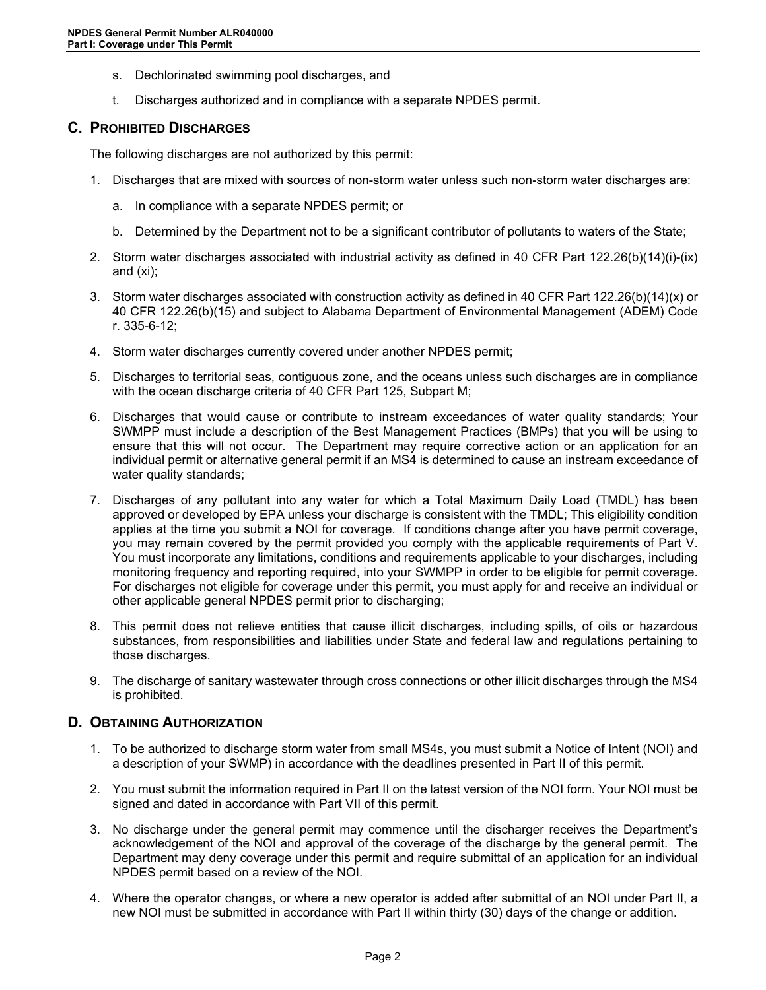- s. Dechlorinated swimming pool discharges, and
- t. Discharges authorized and in compliance with a separate NPDES permit.

### <span id="page-5-0"></span>**C. PROHIBITED DISCHARGES**

The following discharges are not authorized by this permit:

- 1. Discharges that are mixed with sources of non-storm water unless such non-storm water discharges are:
	- a. In compliance with a separate NPDES permit; or
	- b. Determined by the Department not to be a significant contributor of pollutants to waters of the State;
- 2. Storm water discharges associated with industrial activity as defined in 40 CFR Part 122.26(b)(14)(i)-(ix) and (xi);
- 3. Storm water discharges associated with construction activity as defined in 40 CFR Part 122.26(b)(14)(x) or 40 CFR 122.26(b)(15) and subject to Alabama Department of Environmental Management (ADEM) Code r. 335-6-12;
- 4. Storm water discharges currently covered under another NPDES permit;
- 5. Discharges to territorial seas, contiguous zone, and the oceans unless such discharges are in compliance with the ocean discharge criteria of 40 CFR Part 125, Subpart M;
- 6. Discharges that would cause or contribute to instream exceedances of water quality standards; Your SWMPP must include a description of the Best Management Practices (BMPs) that you will be using to ensure that this will not occur. The Department may require corrective action or an application for an individual permit or alternative general permit if an MS4 is determined to cause an instream exceedance of water quality standards;
- 7. Discharges of any pollutant into any water for which a Total Maximum Daily Load (TMDL) has been approved or developed by EPA unless your discharge is consistent with the TMDL; This eligibility condition applies at the time you submit a NOI for coverage. If conditions change after you have permit coverage, you may remain covered by the permit provided you comply with the applicable requirements of Part V. You must incorporate any limitations, conditions and requirements applicable to your discharges, including monitoring frequency and reporting required, into your SWMPP in order to be eligible for permit coverage. For discharges not eligible for coverage under this permit, you must apply for and receive an individual or other applicable general NPDES permit prior to discharging;
- 8. This permit does not relieve entities that cause illicit discharges, including spills, of oils or hazardous substances, from responsibilities and liabilities under State and federal law and regulations pertaining to those discharges.
- 9. The discharge of sanitary wastewater through cross connections or other illicit discharges through the MS4 is prohibited.

### <span id="page-5-1"></span>**D. OBTAINING AUTHORIZATION**

- 1. To be authorized to discharge storm water from small MS4s, you must submit a Notice of Intent (NOI) and a description of your SWMP) in accordance with the deadlines presented in Part II of this permit.
- 2. You must submit the information required in Part II on the latest version of the NOI form. Your NOI must be signed and dated in accordance with Part VII of this permit.
- 3. No discharge under the general permit may commence until the discharger receives the Department's acknowledgement of the NOI and approval of the coverage of the discharge by the general permit. The Department may deny coverage under this permit and require submittal of an application for an individual NPDES permit based on a review of the NOI.
- 4. Where the operator changes, or where a new operator is added after submittal of an NOI under Part II, a new NOI must be submitted in accordance with Part II within thirty (30) days of the change or addition.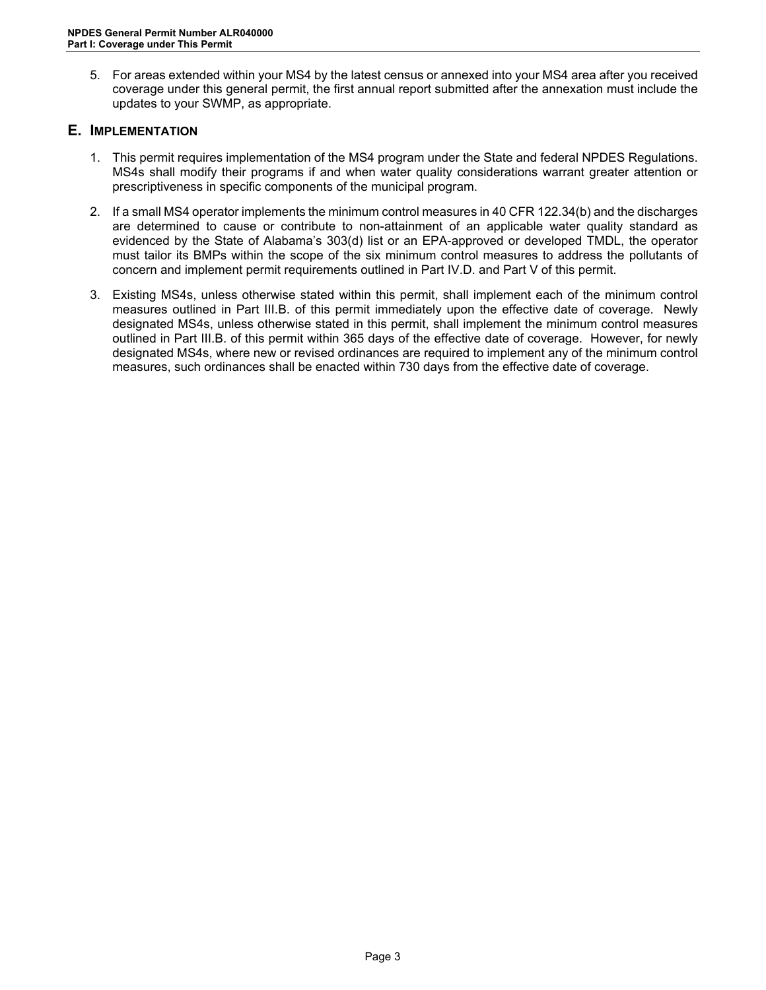5. For areas extended within your MS4 by the latest census or annexed into your MS4 area after you received coverage under this general permit, the first annual report submitted after the annexation must include the updates to your SWMP, as appropriate.

### <span id="page-6-0"></span>**E. IMPLEMENTATION**

- 1. This permit requires implementation of the MS4 program under the State and federal NPDES Regulations. MS4s shall modify their programs if and when water quality considerations warrant greater attention or prescriptiveness in specific components of the municipal program.
- 2. If a small MS4 operator implements the minimum control measures in 40 CFR 122.34(b) and the discharges are determined to cause or contribute to non-attainment of an applicable water quality standard as evidenced by the State of Alabama's 303(d) list or an EPA-approved or developed TMDL, the operator must tailor its BMPs within the scope of the six minimum control measures to address the pollutants of concern and implement permit requirements outlined in Part IV.D. and Part V of this permit.
- 3. Existing MS4s, unless otherwise stated within this permit, shall implement each of the minimum control measures outlined in Part III.B. of this permit immediately upon the effective date of coverage. Newly designated MS4s, unless otherwise stated in this permit, shall implement the minimum control measures outlined in Part III.B. of this permit within 365 days of the effective date of coverage. However, for newly designated MS4s, where new or revised ordinances are required to implement any of the minimum control measures, such ordinances shall be enacted within 730 days from the effective date of coverage.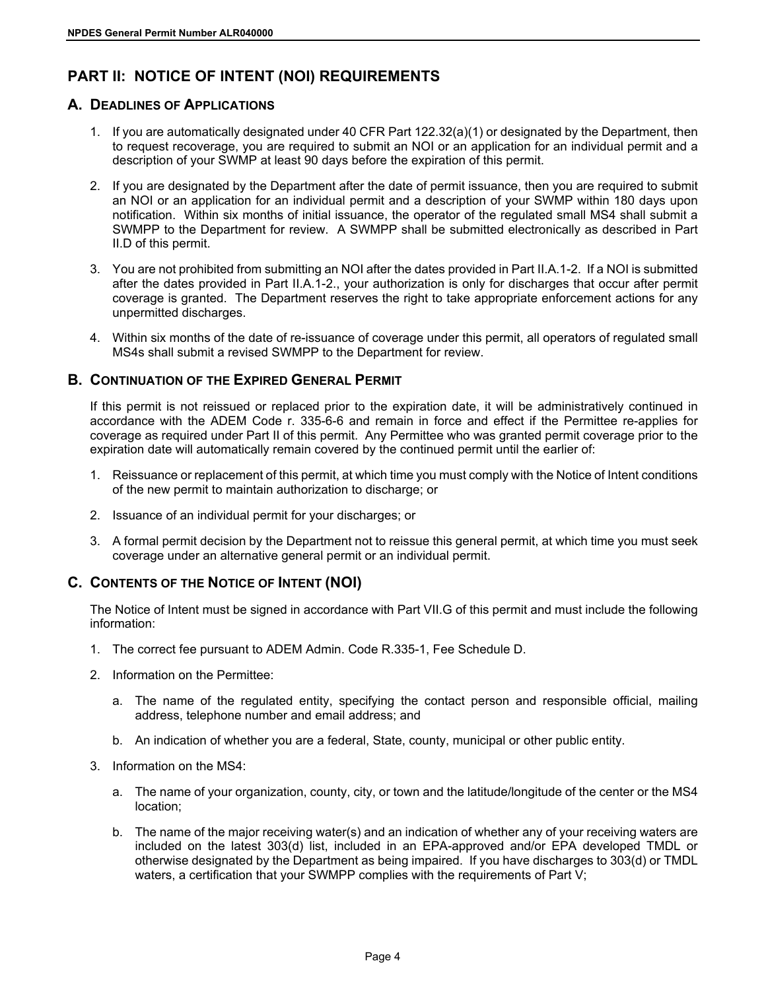# <span id="page-7-0"></span>**PART II: NOTICE OF INTENT (NOI) REQUIREMENTS**

### <span id="page-7-1"></span>**A. DEADLINES OF APPLICATIONS**

- 1. If you are automatically designated under 40 CFR Part 122.32(a)(1) or designated by the Department, then to request recoverage, you are required to submit an NOI or an application for an individual permit and a description of your SWMP at least 90 days before the expiration of this permit.
- 2. If you are designated by the Department after the date of permit issuance, then you are required to submit an NOI or an application for an individual permit and a description of your SWMP within 180 days upon notification. Within six months of initial issuance, the operator of the regulated small MS4 shall submit a SWMPP to the Department for review. A SWMPP shall be submitted electronically as described in Part II.D of this permit.
- 3. You are not prohibited from submitting an NOI after the dates provided in Part II.A.1-2. If a NOI is submitted after the dates provided in Part II.A.1-2., your authorization is only for discharges that occur after permit coverage is granted. The Department reserves the right to take appropriate enforcement actions for any unpermitted discharges.
- 4. Within six months of the date of re-issuance of coverage under this permit, all operators of regulated small MS4s shall submit a revised SWMPP to the Department for review.

### <span id="page-7-2"></span>**B. CONTINUATION OF THE EXPIRED GENERAL PERMIT**

If this permit is not reissued or replaced prior to the expiration date, it will be administratively continued in accordance with the ADEM Code r. 335-6-6 and remain in force and effect if the Permittee re-applies for coverage as required under Part II of this permit. Any Permittee who was granted permit coverage prior to the expiration date will automatically remain covered by the continued permit until the earlier of:

- 1. Reissuance or replacement of this permit, at which time you must comply with the Notice of Intent conditions of the new permit to maintain authorization to discharge; or
- 2. Issuance of an individual permit for your discharges; or
- 3. A formal permit decision by the Department not to reissue this general permit, at which time you must seek coverage under an alternative general permit or an individual permit.

# <span id="page-7-3"></span>**C. CONTENTS OF THE NOTICE OF INTENT (NOI)**

The Notice of Intent must be signed in accordance with Part VII.G of this permit and must include the following information:

- 1. The correct fee pursuant to ADEM Admin. Code R.335-1, Fee Schedule D.
- 2. Information on the Permittee:
	- a. The name of the regulated entity, specifying the contact person and responsible official, mailing address, telephone number and email address; and
	- b. An indication of whether you are a federal, State, county, municipal or other public entity.
- 3. Information on the MS4:
	- a. The name of your organization, county, city, or town and the latitude/longitude of the center or the MS4 location;
	- b. The name of the major receiving water(s) and an indication of whether any of your receiving waters are included on the latest 303(d) list, included in an EPA-approved and/or EPA developed TMDL or otherwise designated by the Department as being impaired. If you have discharges to 303(d) or TMDL waters, a certification that your SWMPP complies with the requirements of Part V;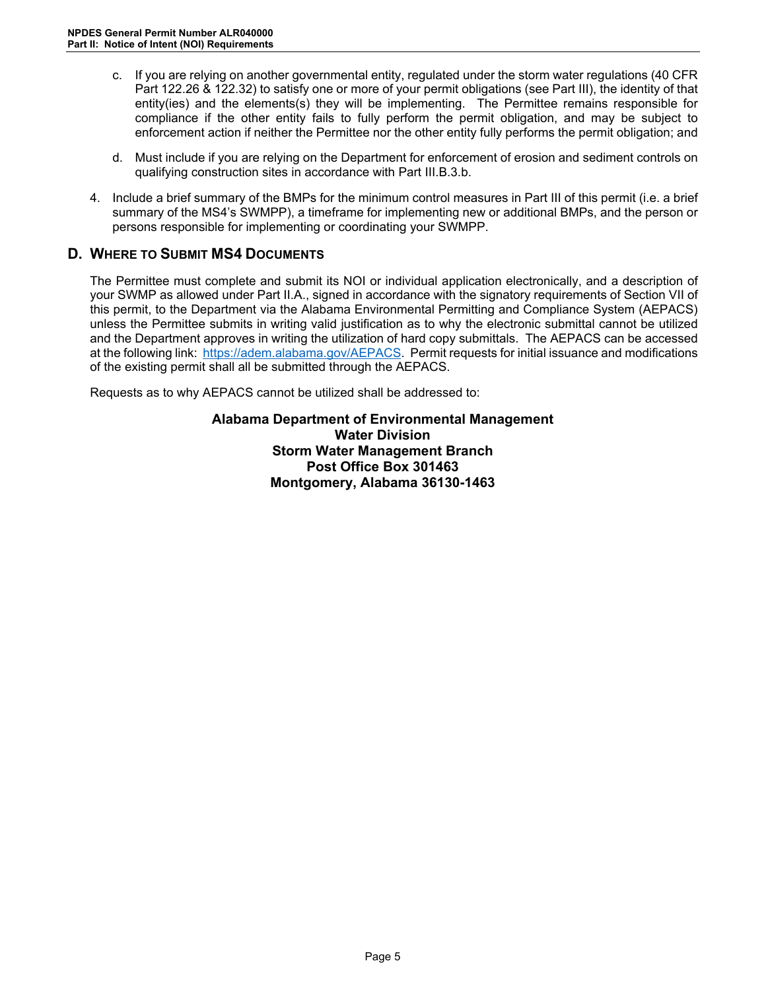- c. If you are relying on another governmental entity, regulated under the storm water regulations (40 CFR Part 122.26 & 122.32) to satisfy one or more of your permit obligations (see Part III), the identity of that entity(ies) and the elements(s) they will be implementing. The Permittee remains responsible for compliance if the other entity fails to fully perform the permit obligation, and may be subject to enforcement action if neither the Permittee nor the other entity fully performs the permit obligation; and
- d. Must include if you are relying on the Department for enforcement of erosion and sediment controls on qualifying construction sites in accordance with Part III.B.3.b.
- 4. Include a brief summary of the BMPs for the minimum control measures in Part III of this permit (i.e. a brief summary of the MS4's SWMPP), a timeframe for implementing new or additional BMPs, and the person or persons responsible for implementing or coordinating your SWMPP.

# <span id="page-8-0"></span>**D. WHERE TO SUBMIT MS4 DOCUMENTS**

The Permittee must complete and submit its NOI or individual application electronically, and a description of your SWMP as allowed under Part II.A., signed in accordance with the signatory requirements of Section VII of this permit, to the Department via the Alabama Environmental Permitting and Compliance System (AEPACS) unless the Permittee submits in writing valid justification as to why the electronic submittal cannot be utilized and the Department approves in writing the utilization of hard copy submittals. The AEPACS can be accessed at the following link: [https://adem.alabama.gov/AEPACS.](https://adem.alabama.gov/AEPACS) Permit requests for initial issuance and modifications of the existing permit shall all be submitted through the AEPACS.

Requests as to why AEPACS cannot be utilized shall be addressed to:

**Alabama Department of Environmental Management Water Division Storm Water Management Branch Post Office Box 301463 Montgomery, Alabama 36130-1463**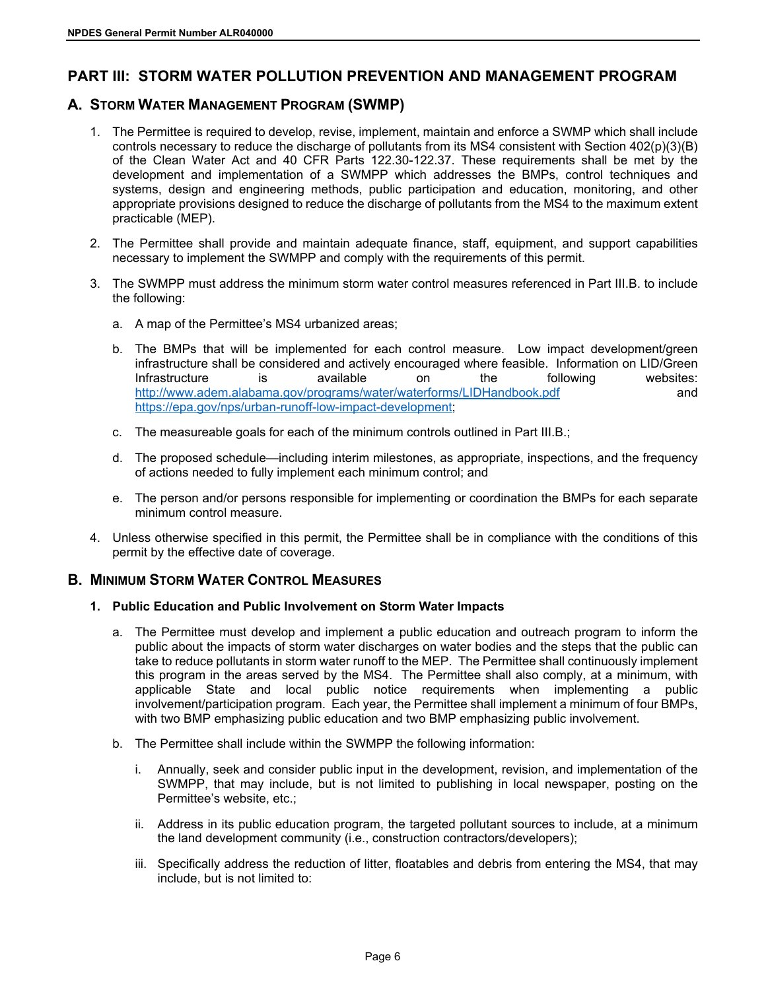# <span id="page-9-0"></span>**PART III: STORM WATER POLLUTION PREVENTION AND MANAGEMENT PROGRAM**

# <span id="page-9-1"></span>**A. STORM WATER MANAGEMENT PROGRAM (SWMP)**

- 1. The Permittee is required to develop, revise, implement, maintain and enforce a SWMP which shall include controls necessary to reduce the discharge of pollutants from its MS4 consistent with Section 402(p)(3)(B) of the Clean Water Act and 40 CFR Parts 122.30-122.37. These requirements shall be met by the development and implementation of a SWMPP which addresses the BMPs, control techniques and systems, design and engineering methods, public participation and education, monitoring, and other appropriate provisions designed to reduce the discharge of pollutants from the MS4 to the maximum extent practicable (MEP).
- 2. The Permittee shall provide and maintain adequate finance, staff, equipment, and support capabilities necessary to implement the SWMPP and comply with the requirements of this permit.
- 3. The SWMPP must address the minimum storm water control measures referenced in Part III.B. to include the following:
	- a. A map of the Permittee's MS4 urbanized areas;
	- b. The BMPs that will be implemented for each control measure. Low impact development/green infrastructure shall be considered and actively encouraged where feasible. Information on LID/Green Infrastructure is available on the following websites: <http://www.adem.alabama.gov/programs/water/waterforms/LIDHandbook.pdf>and <https://epa.gov/nps/urban-runoff-low-impact-development>;
	- c. The measureable goals for each of the minimum controls outlined in Part III.B.;
	- d. The proposed schedule—including interim milestones, as appropriate, inspections, and the frequency of actions needed to fully implement each minimum control; and
	- e. The person and/or persons responsible for implementing or coordination the BMPs for each separate minimum control measure.
- 4. Unless otherwise specified in this permit, the Permittee shall be in compliance with the conditions of this permit by the effective date of coverage.

### <span id="page-9-2"></span>**B. MINIMUM STORM WATER CONTROL MEASURES**

### <span id="page-9-3"></span>**1. Public Education and Public Involvement on Storm Water Impacts**

- a. The Permittee must develop and implement a public education and outreach program to inform the public about the impacts of storm water discharges on water bodies and the steps that the public can take to reduce pollutants in storm water runoff to the MEP. The Permittee shall continuously implement this program in the areas served by the MS4. The Permittee shall also comply, at a minimum, with applicable State and local public notice requirements when implementing a public involvement/participation program. Each year, the Permittee shall implement a minimum of four BMPs, with two BMP emphasizing public education and two BMP emphasizing public involvement.
- b. The Permittee shall include within the SWMPP the following information:
	- i. Annually, seek and consider public input in the development, revision, and implementation of the SWMPP, that may include, but is not limited to publishing in local newspaper, posting on the Permittee's website, etc.;
	- ii. Address in its public education program, the targeted pollutant sources to include, at a minimum the land development community (i.e., construction contractors/developers);
	- iii. Specifically address the reduction of litter, floatables and debris from entering the MS4, that may include, but is not limited to: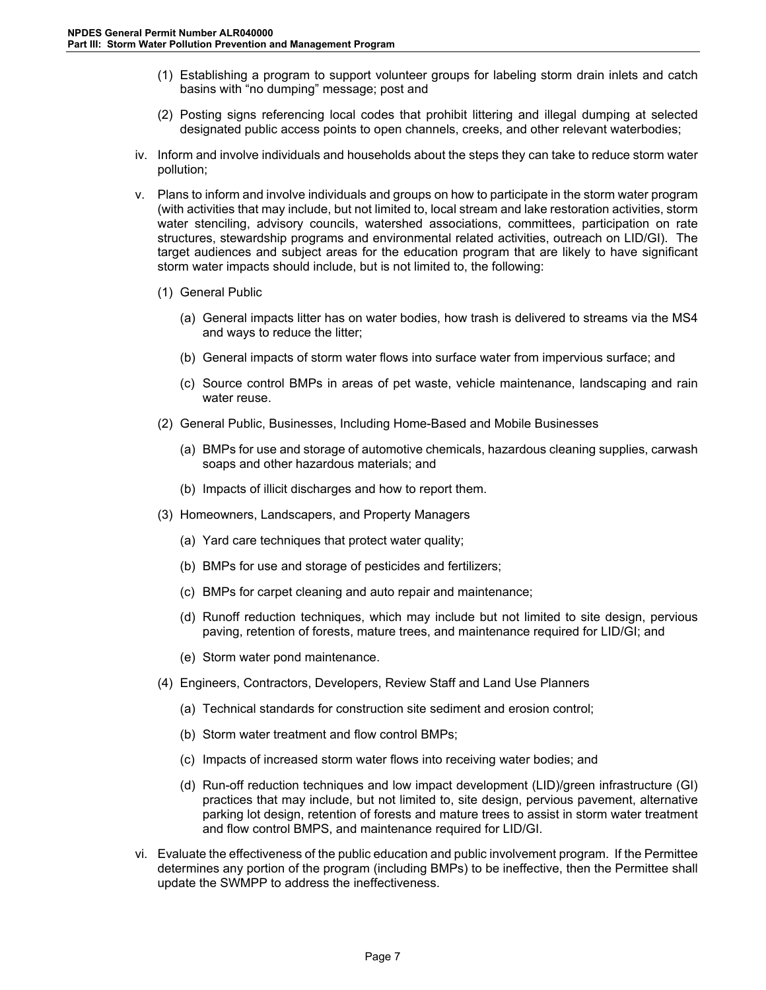- (1) Establishing a program to support volunteer groups for labeling storm drain inlets and catch basins with "no dumping" message; post and
- (2) Posting signs referencing local codes that prohibit littering and illegal dumping at selected designated public access points to open channels, creeks, and other relevant waterbodies;
- iv. Inform and involve individuals and households about the steps they can take to reduce storm water pollution;
- v. Plans to inform and involve individuals and groups on how to participate in the storm water program (with activities that may include, but not limited to, local stream and lake restoration activities, storm water stenciling, advisory councils, watershed associations, committees, participation on rate structures, stewardship programs and environmental related activities, outreach on LID/GI). The target audiences and subject areas for the education program that are likely to have significant storm water impacts should include, but is not limited to, the following:
	- (1) General Public
		- (a) General impacts litter has on water bodies, how trash is delivered to streams via the MS4 and ways to reduce the litter;
		- (b) General impacts of storm water flows into surface water from impervious surface; and
		- (c) Source control BMPs in areas of pet waste, vehicle maintenance, landscaping and rain water reuse.
	- (2) General Public, Businesses, Including Home-Based and Mobile Businesses
		- (a) BMPs for use and storage of automotive chemicals, hazardous cleaning supplies, carwash soaps and other hazardous materials; and
		- (b) Impacts of illicit discharges and how to report them.
	- (3) Homeowners, Landscapers, and Property Managers
		- (a) Yard care techniques that protect water quality;
		- (b) BMPs for use and storage of pesticides and fertilizers;
		- (c) BMPs for carpet cleaning and auto repair and maintenance;
		- (d) Runoff reduction techniques, which may include but not limited to site design, pervious paving, retention of forests, mature trees, and maintenance required for LID/GI; and
		- (e) Storm water pond maintenance.
	- (4) Engineers, Contractors, Developers, Review Staff and Land Use Planners
		- (a) Technical standards for construction site sediment and erosion control;
		- (b) Storm water treatment and flow control BMPs;
		- (c) Impacts of increased storm water flows into receiving water bodies; and
		- (d) Run-off reduction techniques and low impact development (LID)/green infrastructure (GI) practices that may include, but not limited to, site design, pervious pavement, alternative parking lot design, retention of forests and mature trees to assist in storm water treatment and flow control BMPS, and maintenance required for LID/GI.
- vi. Evaluate the effectiveness of the public education and public involvement program. If the Permittee determines any portion of the program (including BMPs) to be ineffective, then the Permittee shall update the SWMPP to address the ineffectiveness.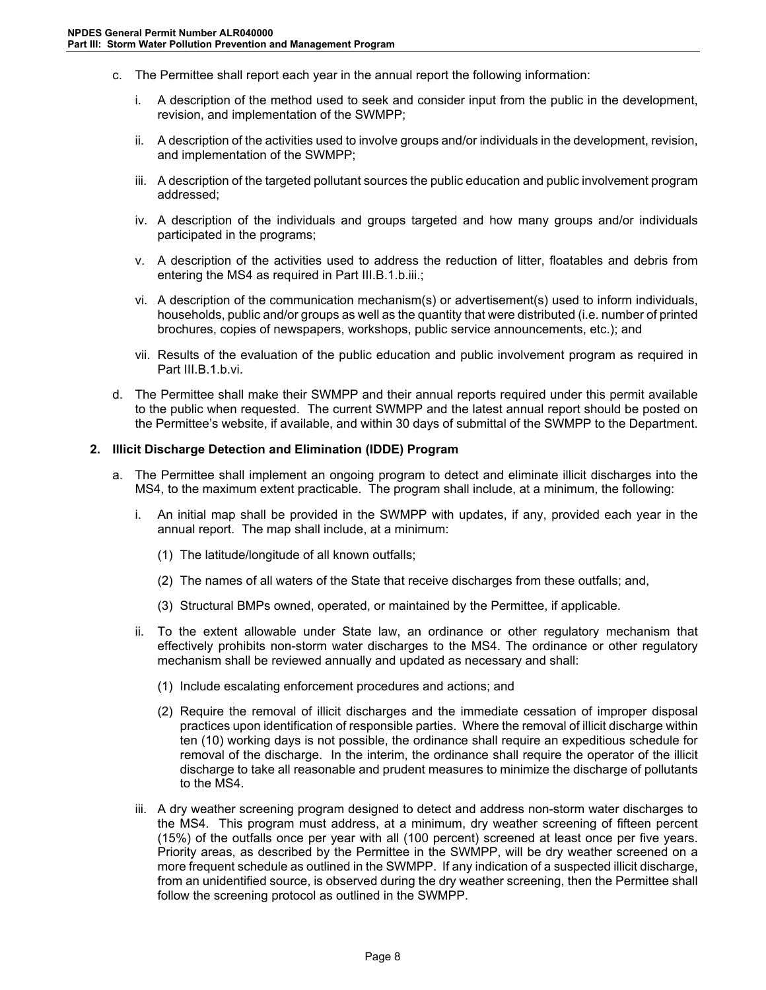- c. The Permittee shall report each year in the annual report the following information:
	- i. A description of the method used to seek and consider input from the public in the development, revision, and implementation of the SWMPP;
	- ii. A description of the activities used to involve groups and/or individuals in the development, revision, and implementation of the SWMPP;
	- iii. A description of the targeted pollutant sources the public education and public involvement program addressed;
	- iv. A description of the individuals and groups targeted and how many groups and/or individuals participated in the programs;
	- v. A description of the activities used to address the reduction of litter, floatables and debris from entering the MS4 as required in Part III.B.1.b.iii.;
	- vi. A description of the communication mechanism(s) or advertisement(s) used to inform individuals, households, public and/or groups as well as the quantity that were distributed (i.e. number of printed brochures, copies of newspapers, workshops, public service announcements, etc.); and
	- vii. Results of the evaluation of the public education and public involvement program as required in Part III.B.1.b.vi.
- d. The Permittee shall make their SWMPP and their annual reports required under this permit available to the public when requested. The current SWMPP and the latest annual report should be posted on the Permittee's website, if available, and within 30 days of submittal of the SWMPP to the Department.

### <span id="page-11-0"></span>**2. Illicit Discharge Detection and Elimination (IDDE) Program**

- a. The Permittee shall implement an ongoing program to detect and eliminate illicit discharges into the MS4, to the maximum extent practicable. The program shall include, at a minimum, the following:
	- i. An initial map shall be provided in the SWMPP with updates, if any, provided each year in the annual report. The map shall include, at a minimum:
		- (1) The latitude/longitude of all known outfalls;
		- (2) The names of all waters of the State that receive discharges from these outfalls; and,
		- (3) Structural BMPs owned, operated, or maintained by the Permittee, if applicable.
	- ii. To the extent allowable under State law, an ordinance or other regulatory mechanism that effectively prohibits non-storm water discharges to the MS4. The ordinance or other regulatory mechanism shall be reviewed annually and updated as necessary and shall:
		- (1) Include escalating enforcement procedures and actions; and
		- (2) Require the removal of illicit discharges and the immediate cessation of improper disposal practices upon identification of responsible parties. Where the removal of illicit discharge within ten (10) working days is not possible, the ordinance shall require an expeditious schedule for removal of the discharge. In the interim, the ordinance shall require the operator of the illicit discharge to take all reasonable and prudent measures to minimize the discharge of pollutants to the MS4.
	- iii. A dry weather screening program designed to detect and address non-storm water discharges to the MS4. This program must address, at a minimum, dry weather screening of fifteen percent (15%) of the outfalls once per year with all (100 percent) screened at least once per five years. Priority areas, as described by the Permittee in the SWMPP, will be dry weather screened on a more frequent schedule as outlined in the SWMPP. If any indication of a suspected illicit discharge, from an unidentified source, is observed during the dry weather screening, then the Permittee shall follow the screening protocol as outlined in the SWMPP.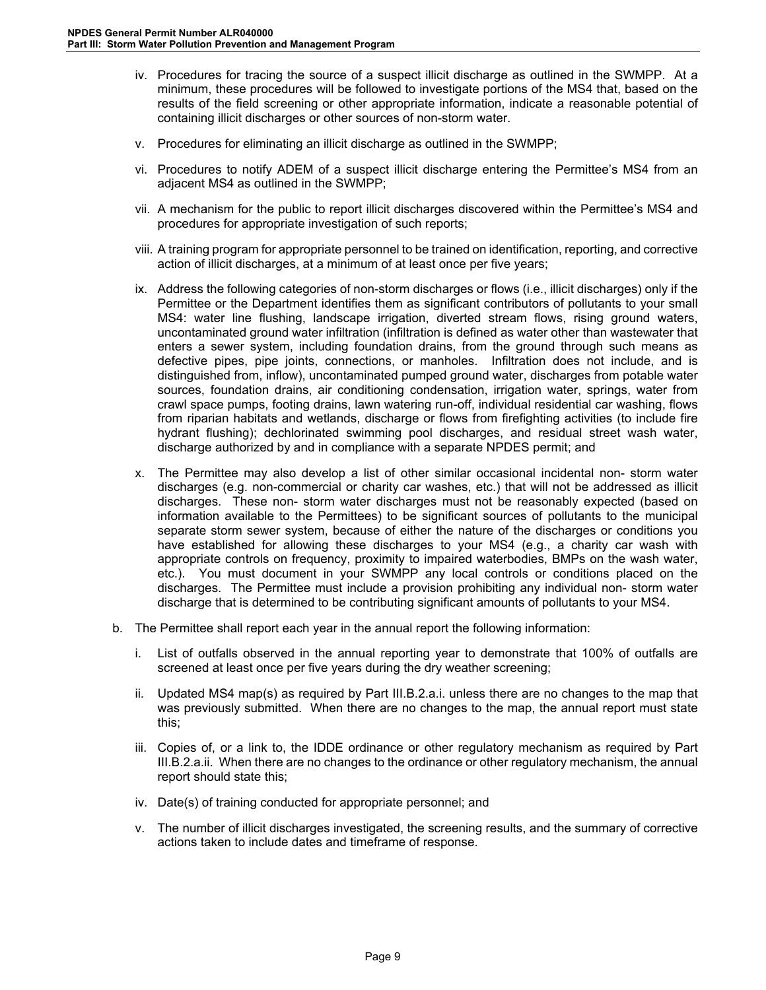- iv. Procedures for tracing the source of a suspect illicit discharge as outlined in the SWMPP. At a minimum, these procedures will be followed to investigate portions of the MS4 that, based on the results of the field screening or other appropriate information, indicate a reasonable potential of containing illicit discharges or other sources of non-storm water.
- v. Procedures for eliminating an illicit discharge as outlined in the SWMPP;
- vi. Procedures to notify ADEM of a suspect illicit discharge entering the Permittee's MS4 from an adjacent MS4 as outlined in the SWMPP;
- vii. A mechanism for the public to report illicit discharges discovered within the Permittee's MS4 and procedures for appropriate investigation of such reports;
- viii. A training program for appropriate personnel to be trained on identification, reporting, and corrective action of illicit discharges, at a minimum of at least once per five years;
- ix. Address the following categories of non-storm discharges or flows (i.e., illicit discharges) only if the Permittee or the Department identifies them as significant contributors of pollutants to your small MS4: water line flushing, landscape irrigation, diverted stream flows, rising ground waters, uncontaminated ground water infiltration (infiltration is defined as water other than wastewater that enters a sewer system, including foundation drains, from the ground through such means as defective pipes, pipe joints, connections, or manholes. Infiltration does not include, and is distinguished from, inflow), uncontaminated pumped ground water, discharges from potable water sources, foundation drains, air conditioning condensation, irrigation water, springs, water from crawl space pumps, footing drains, lawn watering run-off, individual residential car washing, flows from riparian habitats and wetlands, discharge or flows from firefighting activities (to include fire hydrant flushing); dechlorinated swimming pool discharges, and residual street wash water, discharge authorized by and in compliance with a separate NPDES permit; and
- x. The Permittee may also develop a list of other similar occasional incidental non- storm water discharges (e.g. non-commercial or charity car washes, etc.) that will not be addressed as illicit discharges. These non- storm water discharges must not be reasonably expected (based on information available to the Permittees) to be significant sources of pollutants to the municipal separate storm sewer system, because of either the nature of the discharges or conditions you have established for allowing these discharges to your MS4 (e.g., a charity car wash with appropriate controls on frequency, proximity to impaired waterbodies, BMPs on the wash water, etc.). You must document in your SWMPP any local controls or conditions placed on the discharges. The Permittee must include a provision prohibiting any individual non- storm water discharge that is determined to be contributing significant amounts of pollutants to your MS4.
- b. The Permittee shall report each year in the annual report the following information:
	- i. List of outfalls observed in the annual reporting year to demonstrate that 100% of outfalls are screened at least once per five years during the dry weather screening;
	- ii. Updated MS4 map(s) as required by Part III.B.2.a.i. unless there are no changes to the map that was previously submitted. When there are no changes to the map, the annual report must state this;
	- iii. Copies of, or a link to, the IDDE ordinance or other regulatory mechanism as required by Part III.B.2.a.ii. When there are no changes to the ordinance or other regulatory mechanism, the annual report should state this;
	- iv. Date(s) of training conducted for appropriate personnel; and
	- v. The number of illicit discharges investigated, the screening results, and the summary of corrective actions taken to include dates and timeframe of response.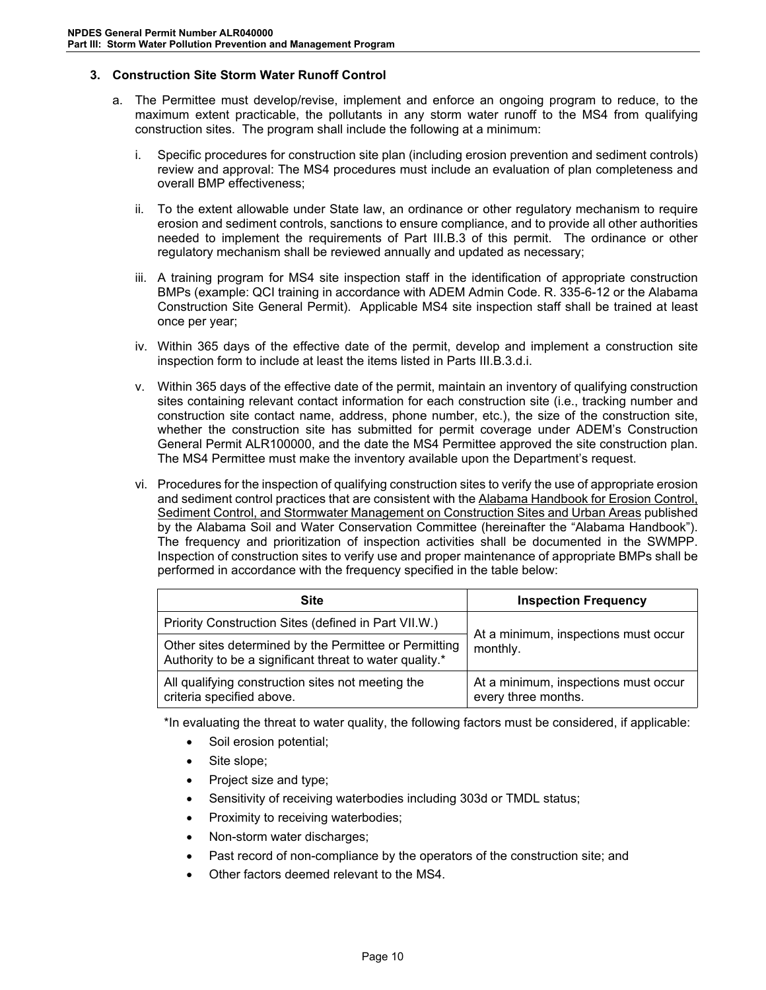### <span id="page-13-0"></span>**3. Construction Site Storm Water Runoff Control**

- a. The Permittee must develop/revise, implement and enforce an ongoing program to reduce, to the maximum extent practicable, the pollutants in any storm water runoff to the MS4 from qualifying construction sites. The program shall include the following at a minimum:
	- i. Specific procedures for construction site plan (including erosion prevention and sediment controls) review and approval: The MS4 procedures must include an evaluation of plan completeness and overall BMP effectiveness;
	- ii. To the extent allowable under State law, an ordinance or other regulatory mechanism to require erosion and sediment controls, sanctions to ensure compliance, and to provide all other authorities needed to implement the requirements of Part III.B.3 of this permit. The ordinance or other regulatory mechanism shall be reviewed annually and updated as necessary;
	- iii. A training program for MS4 site inspection staff in the identification of appropriate construction BMPs (example: QCI training in accordance with ADEM Admin Code. R. 335-6-12 or the Alabama Construction Site General Permit). Applicable MS4 site inspection staff shall be trained at least once per year;
	- iv. Within 365 days of the effective date of the permit, develop and implement a construction site inspection form to include at least the items listed in Parts III.B.3.d.i.
	- v. Within 365 days of the effective date of the permit, maintain an inventory of qualifying construction sites containing relevant contact information for each construction site (i.e., tracking number and construction site contact name, address, phone number, etc.), the size of the construction site, whether the construction site has submitted for permit coverage under ADEM's Construction General Permit ALR100000, and the date the MS4 Permittee approved the site construction plan. The MS4 Permittee must make the inventory available upon the Department's request.
	- vi. Procedures for the inspection of qualifying construction sites to verify the use of appropriate erosion and sediment control practices that are consistent with the Alabama Handbook for Erosion Control, Sediment Control, and Stormwater Management on Construction Sites and Urban Areas published by the Alabama Soil and Water Conservation Committee (hereinafter the "Alabama Handbook"). The frequency and prioritization of inspection activities shall be documented in the SWMPP. Inspection of construction sites to verify use and proper maintenance of appropriate BMPs shall be performed in accordance with the frequency specified in the table below:

| <b>Site</b>                                                                                                      | <b>Inspection Frequency</b>                                 |  |
|------------------------------------------------------------------------------------------------------------------|-------------------------------------------------------------|--|
| Priority Construction Sites (defined in Part VII.W.)                                                             | At a minimum, inspections must occur<br>monthly.            |  |
| Other sites determined by the Permittee or Permitting<br>Authority to be a significant threat to water quality.* |                                                             |  |
| All qualifying construction sites not meeting the<br>criteria specified above.                                   | At a minimum, inspections must occur<br>every three months. |  |

\*In evaluating the threat to water quality, the following factors must be considered, if applicable:

- Soil erosion potential;
- Site slope;
- Project size and type;
- Sensitivity of receiving waterbodies including 303d or TMDL status;
- Proximity to receiving waterbodies;
- Non-storm water discharges;
- Past record of non-compliance by the operators of the construction site; and
- Other factors deemed relevant to the MS4.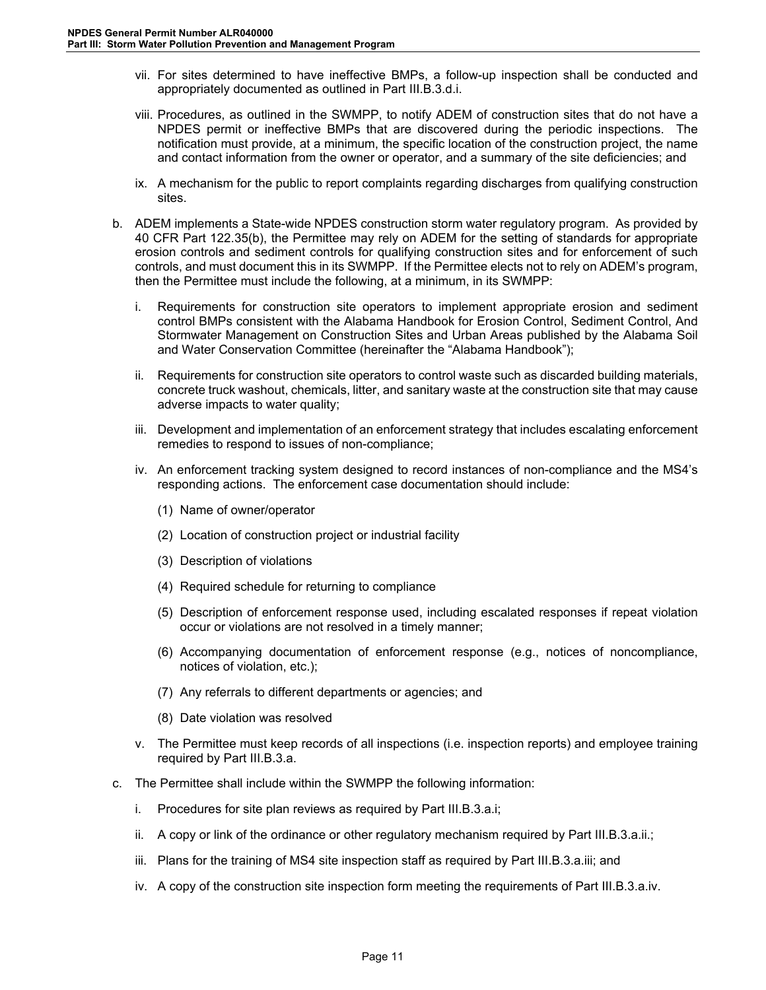- vii. For sites determined to have ineffective BMPs, a follow-up inspection shall be conducted and appropriately documented as outlined in Part III.B.3.d.i.
- viii. Procedures, as outlined in the SWMPP, to notify ADEM of construction sites that do not have a NPDES permit or ineffective BMPs that are discovered during the periodic inspections. The notification must provide, at a minimum, the specific location of the construction project, the name and contact information from the owner or operator, and a summary of the site deficiencies; and
- ix. A mechanism for the public to report complaints regarding discharges from qualifying construction sites.
- b. ADEM implements a State-wide NPDES construction storm water regulatory program. As provided by 40 CFR Part 122.35(b), the Permittee may rely on ADEM for the setting of standards for appropriate erosion controls and sediment controls for qualifying construction sites and for enforcement of such controls, and must document this in its SWMPP. If the Permittee elects not to rely on ADEM's program, then the Permittee must include the following, at a minimum, in its SWMPP:
	- i. Requirements for construction site operators to implement appropriate erosion and sediment control BMPs consistent with the Alabama Handbook for Erosion Control, Sediment Control, And Stormwater Management on Construction Sites and Urban Areas published by the Alabama Soil and Water Conservation Committee (hereinafter the "Alabama Handbook");
	- ii. Requirements for construction site operators to control waste such as discarded building materials, concrete truck washout, chemicals, litter, and sanitary waste at the construction site that may cause adverse impacts to water quality;
	- iii. Development and implementation of an enforcement strategy that includes escalating enforcement remedies to respond to issues of non-compliance;
	- iv. An enforcement tracking system designed to record instances of non-compliance and the MS4's responding actions. The enforcement case documentation should include:
		- (1) Name of owner/operator
		- (2) Location of construction project or industrial facility
		- (3) Description of violations
		- (4) Required schedule for returning to compliance
		- (5) Description of enforcement response used, including escalated responses if repeat violation occur or violations are not resolved in a timely manner;
		- (6) Accompanying documentation of enforcement response (e.g., notices of noncompliance, notices of violation, etc.);
		- (7) Any referrals to different departments or agencies; and
		- (8) Date violation was resolved
	- v. The Permittee must keep records of all inspections (i.e. inspection reports) and employee training required by Part III.B.3.a.
- c. The Permittee shall include within the SWMPP the following information:
	- i. Procedures for site plan reviews as required by Part III.B.3.a.i;
	- ii. A copy or link of the ordinance or other regulatory mechanism required by Part III.B.3.a.ii.;
	- iii. Plans for the training of MS4 site inspection staff as required by Part III.B.3.a.iii; and
	- iv. A copy of the construction site inspection form meeting the requirements of Part III.B.3.a.iv.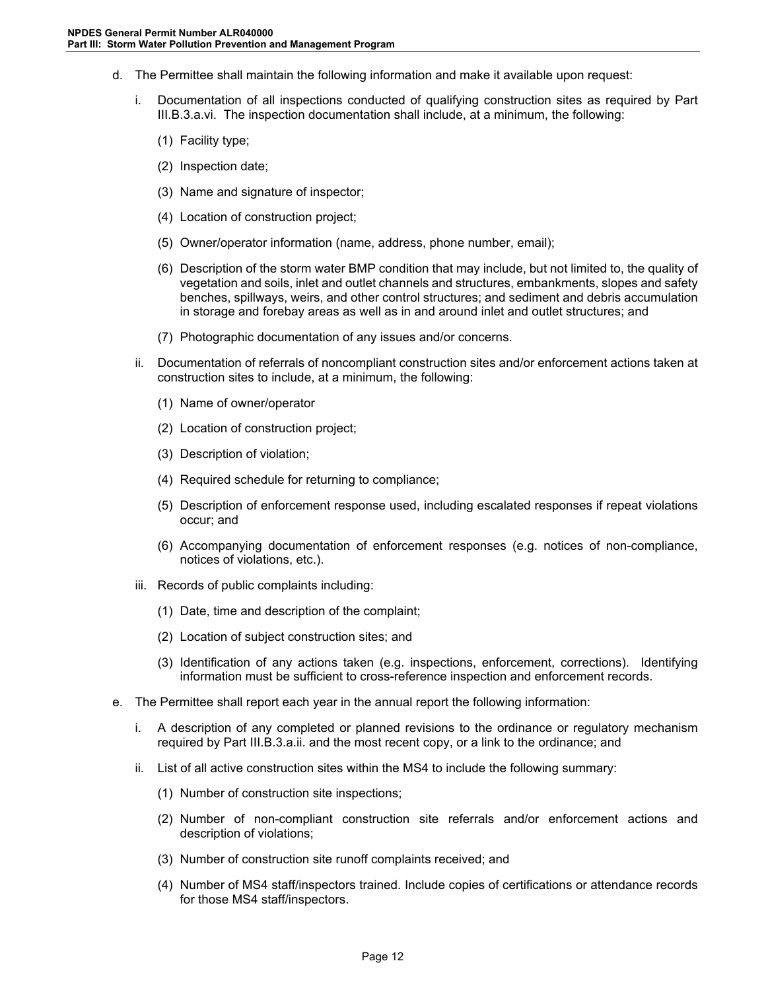- d. The Permittee shall maintain the following information and make it available upon request:
	- i. Documentation of all inspections conducted of qualifying construction sites as required by Part III.B.3.a.vi. The inspection documentation shall include, at a minimum, the following:
		- (1) Facility type;
		- (2) Inspection date;
		- (3) Name and signature of inspector;
		- (4) Location of construction project;
		- (5) Owner/operator information (name, address, phone number, email);
		- (6) Description of the storm water BMP condition that may include, but not limited to, the quality of vegetation and soils, inlet and outlet channels and structures, embankments, slopes and safety benches, spillways, weirs, and other control structures; and sediment and debris accumulation in storage and forebay areas as well as in and around inlet and outlet structures; and
		- (7) Photographic documentation of any issues and/or concerns.
	- ii. Documentation of referrals of noncompliant construction sites and/or enforcement actions taken at construction sites to include, at a minimum, the following:
		- (1) Name of owner/operator
		- (2) Location of construction project;
		- (3) Description of violation;
		- (4) Required schedule for returning to compliance;
		- (5) Description of enforcement response used, including escalated responses if repeat violations occur; and
		- (6) Accompanying documentation of enforcement responses (e.g. notices of non-compliance, notices of violations, etc.).
	- iii. Records of public complaints including:
		- (1) Date, time and description of the complaint;
		- (2) Location of subject construction sites; and
		- (3) Identification of any actions taken (e.g. inspections, enforcement, corrections). Identifying information must be sufficient to cross-reference inspection and enforcement records.
- e. The Permittee shall report each year in the annual report the following information:
	- i. A description of any completed or planned revisions to the ordinance or regulatory mechanism required by Part III.B.3.a.ii. and the most recent copy, or a link to the ordinance; and
	- ii. List of all active construction sites within the MS4 to include the following summary:
		- (1) Number of construction site inspections;
		- (2) Number of non-compliant construction site referrals and/or enforcement actions and description of violations;
		- (3) Number of construction site runoff complaints received; and
		- (4) Number of MS4 staff/inspectors trained. Include copies of certifications or attendance records for those MS4 staff/inspectors.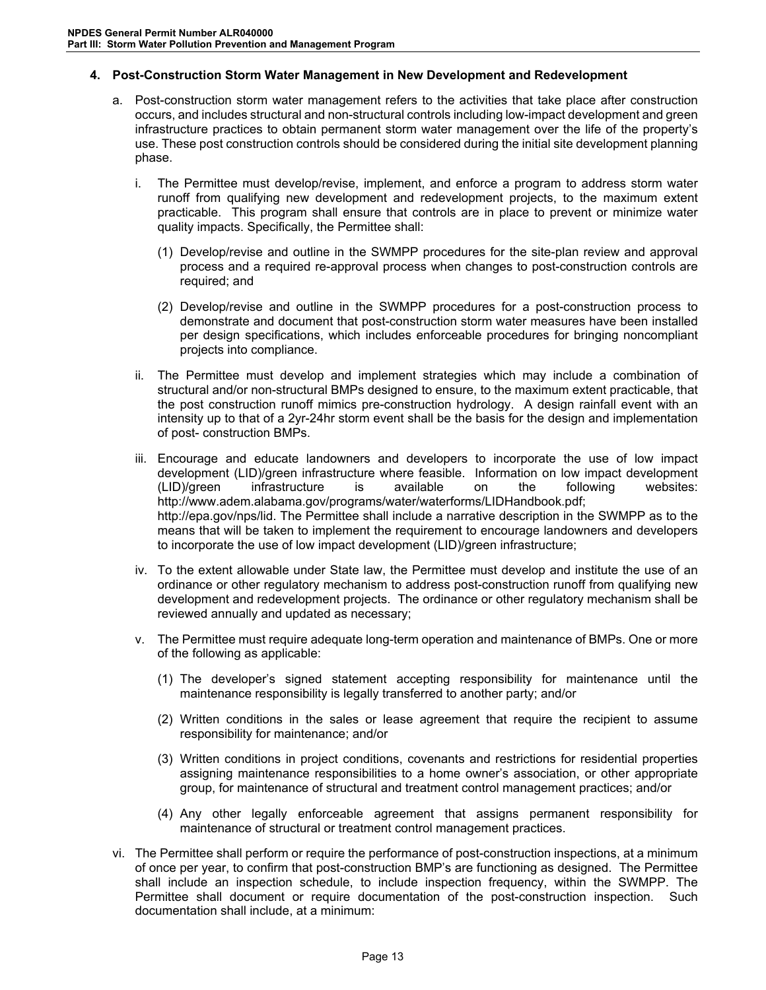### <span id="page-16-0"></span>**4. Post-Construction Storm Water Management in New Development and Redevelopment**

- a. Post-construction storm water management refers to the activities that take place after construction occurs, and includes structural and non-structural controls including low-impact development and green infrastructure practices to obtain permanent storm water management over the life of the property's use. These post construction controls should be considered during the initial site development planning phase.
	- i. The Permittee must develop/revise, implement, and enforce a program to address storm water runoff from qualifying new development and redevelopment projects, to the maximum extent practicable. This program shall ensure that controls are in place to prevent or minimize water quality impacts. Specifically, the Permittee shall:
		- (1) Develop/revise and outline in the SWMPP procedures for the site-plan review and approval process and a required re-approval process when changes to post-construction controls are required; and
		- (2) Develop/revise and outline in the SWMPP procedures for a post-construction process to demonstrate and document that post-construction storm water measures have been installed per design specifications, which includes enforceable procedures for bringing noncompliant projects into compliance.
	- ii. The Permittee must develop and implement strategies which may include a combination of structural and/or non-structural BMPs designed to ensure, to the maximum extent practicable, that the post construction runoff mimics pre-construction hydrology. A design rainfall event with an intensity up to that of a 2yr-24hr storm event shall be the basis for the design and implementation of post- construction BMPs.
	- iii. Encourage and educate landowners and developers to incorporate the use of low impact development (LID)/green infrastructure where feasible. Information on low impact development (LID)/green infrastructure is available on the following websites: http://www.adem.alabama.gov/programs/water/waterforms/LIDHandbook.pdf; http://epa.gov/nps/lid. The Permittee shall include a narrative description in the SWMPP as to the means that will be taken to implement the requirement to encourage landowners and developers to incorporate the use of low impact development (LID)/green infrastructure;
	- iv. To the extent allowable under State law, the Permittee must develop and institute the use of an ordinance or other regulatory mechanism to address post-construction runoff from qualifying new development and redevelopment projects. The ordinance or other regulatory mechanism shall be reviewed annually and updated as necessary;
	- v. The Permittee must require adequate long-term operation and maintenance of BMPs. One or more of the following as applicable:
		- (1) The developer's signed statement accepting responsibility for maintenance until the maintenance responsibility is legally transferred to another party; and/or
		- (2) Written conditions in the sales or lease agreement that require the recipient to assume responsibility for maintenance; and/or
		- (3) Written conditions in project conditions, covenants and restrictions for residential properties assigning maintenance responsibilities to a home owner's association, or other appropriate group, for maintenance of structural and treatment control management practices; and/or
		- (4) Any other legally enforceable agreement that assigns permanent responsibility for maintenance of structural or treatment control management practices.
- vi. The Permittee shall perform or require the performance of post-construction inspections, at a minimum of once per year, to confirm that post-construction BMP's are functioning as designed. The Permittee shall include an inspection schedule, to include inspection frequency, within the SWMPP. The Permittee shall document or require documentation of the post-construction inspection. Such documentation shall include, at a minimum: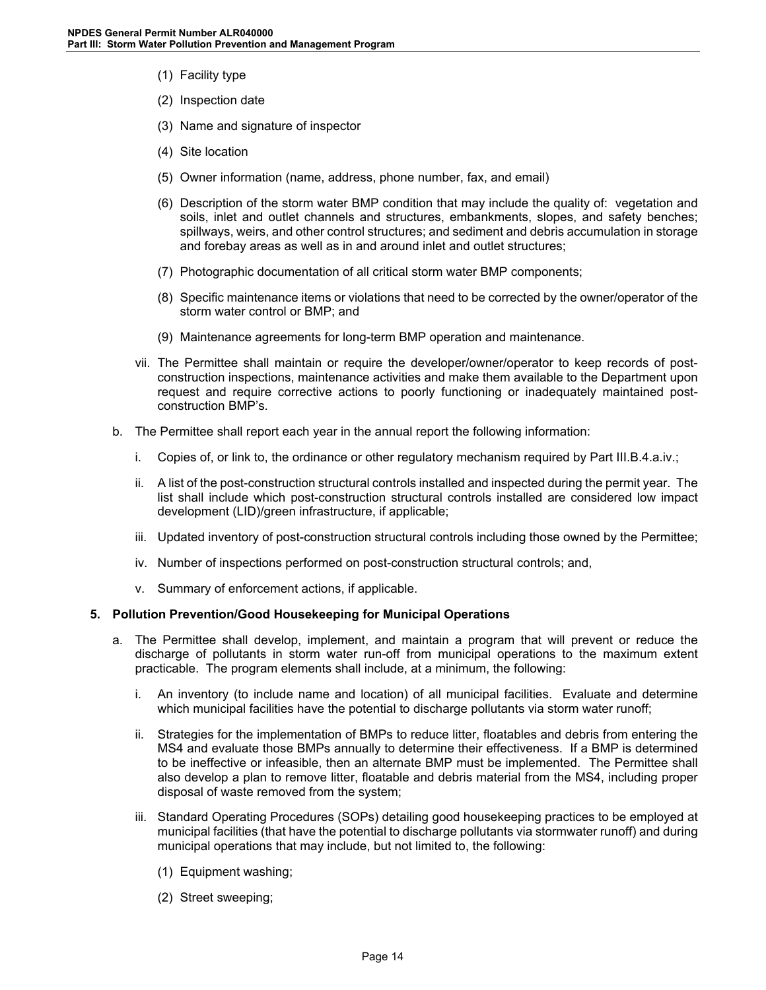- (1) Facility type
- (2) Inspection date
- (3) Name and signature of inspector
- (4) Site location
- (5) Owner information (name, address, phone number, fax, and email)
- (6) Description of the storm water BMP condition that may include the quality of: vegetation and soils, inlet and outlet channels and structures, embankments, slopes, and safety benches; spillways, weirs, and other control structures; and sediment and debris accumulation in storage and forebay areas as well as in and around inlet and outlet structures;
- (7) Photographic documentation of all critical storm water BMP components;
- (8) Specific maintenance items or violations that need to be corrected by the owner/operator of the storm water control or BMP; and
- (9) Maintenance agreements for long-term BMP operation and maintenance.
- vii. The Permittee shall maintain or require the developer/owner/operator to keep records of postconstruction inspections, maintenance activities and make them available to the Department upon request and require corrective actions to poorly functioning or inadequately maintained postconstruction BMP's.
- b. The Permittee shall report each year in the annual report the following information:
	- i. Copies of, or link to, the ordinance or other regulatory mechanism required by Part III.B.4.a.iv.;
	- ii. A list of the post-construction structural controls installed and inspected during the permit year. The list shall include which post-construction structural controls installed are considered low impact development (LID)/green infrastructure, if applicable;
	- iii. Updated inventory of post-construction structural controls including those owned by the Permittee;
	- iv. Number of inspections performed on post-construction structural controls; and,
	- v. Summary of enforcement actions, if applicable.

#### <span id="page-17-0"></span>**5. Pollution Prevention/Good Housekeeping for Municipal Operations**

- a. The Permittee shall develop, implement, and maintain a program that will prevent or reduce the discharge of pollutants in storm water run-off from municipal operations to the maximum extent practicable. The program elements shall include, at a minimum, the following:
	- i. An inventory (to include name and location) of all municipal facilities. Evaluate and determine which municipal facilities have the potential to discharge pollutants via storm water runoff;
	- ii. Strategies for the implementation of BMPs to reduce litter, floatables and debris from entering the MS4 and evaluate those BMPs annually to determine their effectiveness. If a BMP is determined to be ineffective or infeasible, then an alternate BMP must be implemented. The Permittee shall also develop a plan to remove litter, floatable and debris material from the MS4, including proper disposal of waste removed from the system;
	- iii. Standard Operating Procedures (SOPs) detailing good housekeeping practices to be employed at municipal facilities (that have the potential to discharge pollutants via stormwater runoff) and during municipal operations that may include, but not limited to, the following:
		- (1) Equipment washing;
		- (2) Street sweeping;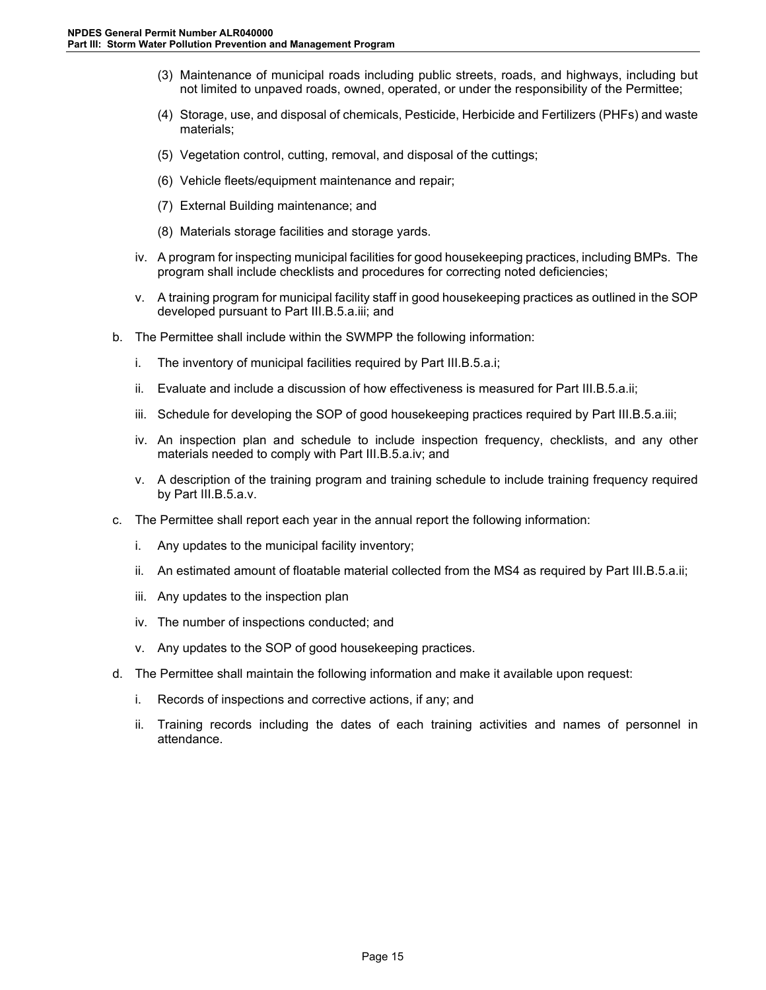- (3) Maintenance of municipal roads including public streets, roads, and highways, including but not limited to unpaved roads, owned, operated, or under the responsibility of the Permittee;
- (4) Storage, use, and disposal of chemicals, Pesticide, Herbicide and Fertilizers (PHFs) and waste materials;
- (5) Vegetation control, cutting, removal, and disposal of the cuttings;
- (6) Vehicle fleets/equipment maintenance and repair;
- (7) External Building maintenance; and
- (8) Materials storage facilities and storage yards.
- iv. A program for inspecting municipal facilities for good housekeeping practices, including BMPs. The program shall include checklists and procedures for correcting noted deficiencies;
- v. A training program for municipal facility staff in good housekeeping practices as outlined in the SOP developed pursuant to Part III.B.5.a.iii; and
- b. The Permittee shall include within the SWMPP the following information:
	- i. The inventory of municipal facilities required by Part III.B.5.a.i;
	- ii. Evaluate and include a discussion of how effectiveness is measured for Part III.B.5.a.ii;
	- iii. Schedule for developing the SOP of good housekeeping practices required by Part III.B.5.a.iii;
	- iv. An inspection plan and schedule to include inspection frequency, checklists, and any other materials needed to comply with Part III.B.5.a.iv; and
	- v. A description of the training program and training schedule to include training frequency required by Part III.B.5.a.v.
- c. The Permittee shall report each year in the annual report the following information:
	- i. Any updates to the municipal facility inventory;
	- ii. An estimated amount of floatable material collected from the MS4 as required by Part III.B.5.a.ii;
	- iii. Any updates to the inspection plan
	- iv. The number of inspections conducted; and
	- v. Any updates to the SOP of good housekeeping practices.
- d. The Permittee shall maintain the following information and make it available upon request:
	- i. Records of inspections and corrective actions, if any; and
	- ii. Training records including the dates of each training activities and names of personnel in attendance.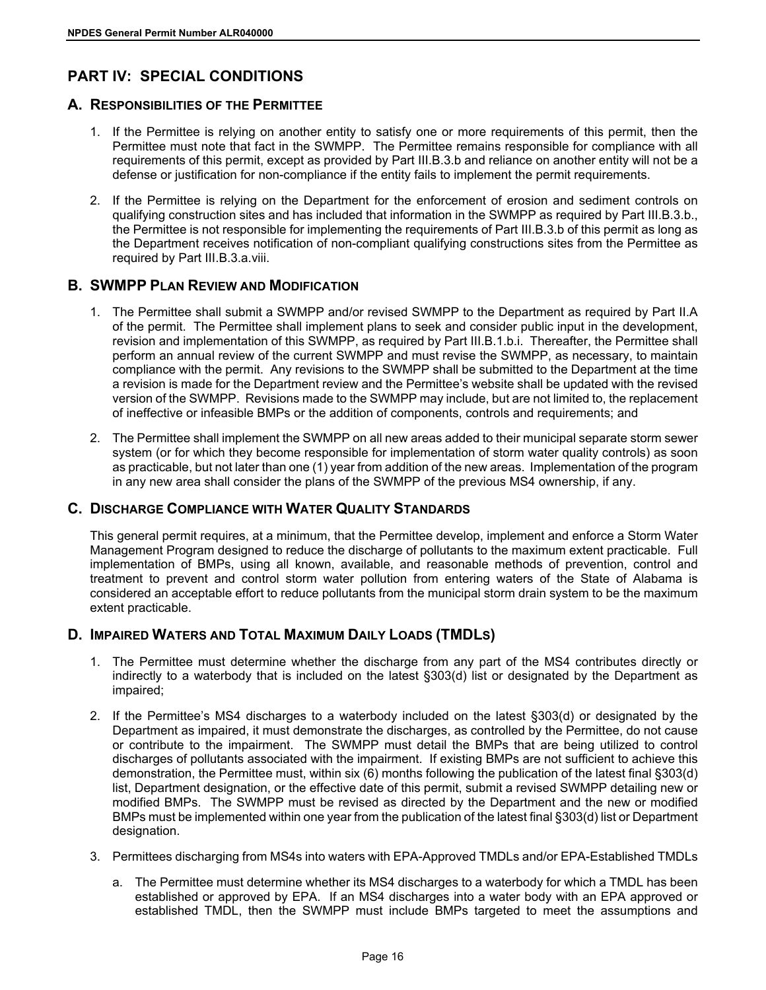# <span id="page-19-0"></span>**PART IV: SPECIAL CONDITIONS**

### <span id="page-19-1"></span>**A. RESPONSIBILITIES OF THE PERMITTEE**

- 1. If the Permittee is relying on another entity to satisfy one or more requirements of this permit, then the Permittee must note that fact in the SWMPP. The Permittee remains responsible for compliance with all requirements of this permit, except as provided by Part III.B.3.b and reliance on another entity will not be a defense or justification for non-compliance if the entity fails to implement the permit requirements.
- 2. If the Permittee is relying on the Department for the enforcement of erosion and sediment controls on qualifying construction sites and has included that information in the SWMPP as required by Part III.B.3.b., the Permittee is not responsible for implementing the requirements of Part III.B.3.b of this permit as long as the Department receives notification of non-compliant qualifying constructions sites from the Permittee as required by Part III.B.3.a.viii.

# <span id="page-19-2"></span>**B. SWMPP PLAN REVIEW AND MODIFICATION**

- 1. The Permittee shall submit a SWMPP and/or revised SWMPP to the Department as required by Part II.A of the permit. The Permittee shall implement plans to seek and consider public input in the development, revision and implementation of this SWMPP, as required by Part III.B.1.b.i. Thereafter, the Permittee shall perform an annual review of the current SWMPP and must revise the SWMPP, as necessary, to maintain compliance with the permit. Any revisions to the SWMPP shall be submitted to the Department at the time a revision is made for the Department review and the Permittee's website shall be updated with the revised version of the SWMPP. Revisions made to the SWMPP may include, but are not limited to, the replacement of ineffective or infeasible BMPs or the addition of components, controls and requirements; and
- 2. The Permittee shall implement the SWMPP on all new areas added to their municipal separate storm sewer system (or for which they become responsible for implementation of storm water quality controls) as soon as practicable, but not later than one (1) year from addition of the new areas. Implementation of the program in any new area shall consider the plans of the SWMPP of the previous MS4 ownership, if any.

# <span id="page-19-3"></span>**C. DISCHARGE COMPLIANCE WITH WATER QUALITY STANDARDS**

This general permit requires, at a minimum, that the Permittee develop, implement and enforce a Storm Water Management Program designed to reduce the discharge of pollutants to the maximum extent practicable. Full implementation of BMPs, using all known, available, and reasonable methods of prevention, control and treatment to prevent and control storm water pollution from entering waters of the State of Alabama is considered an acceptable effort to reduce pollutants from the municipal storm drain system to be the maximum extent practicable.

# <span id="page-19-4"></span>**D. IMPAIRED WATERS AND TOTAL MAXIMUM DAILY LOADS (TMDLS)**

- 1. The Permittee must determine whether the discharge from any part of the MS4 contributes directly or indirectly to a waterbody that is included on the latest §303(d) list or designated by the Department as impaired;
- 2. If the Permittee's MS4 discharges to a waterbody included on the latest §303(d) or designated by the Department as impaired, it must demonstrate the discharges, as controlled by the Permittee, do not cause or contribute to the impairment. The SWMPP must detail the BMPs that are being utilized to control discharges of pollutants associated with the impairment. If existing BMPs are not sufficient to achieve this demonstration, the Permittee must, within six (6) months following the publication of the latest final §303(d) list, Department designation, or the effective date of this permit, submit a revised SWMPP detailing new or modified BMPs. The SWMPP must be revised as directed by the Department and the new or modified BMPs must be implemented within one year from the publication of the latest final §303(d) list or Department designation.
- 3. Permittees discharging from MS4s into waters with EPA-Approved TMDLs and/or EPA-Established TMDLs
	- a. The Permittee must determine whether its MS4 discharges to a waterbody for which a TMDL has been established or approved by EPA. If an MS4 discharges into a water body with an EPA approved or established TMDL, then the SWMPP must include BMPs targeted to meet the assumptions and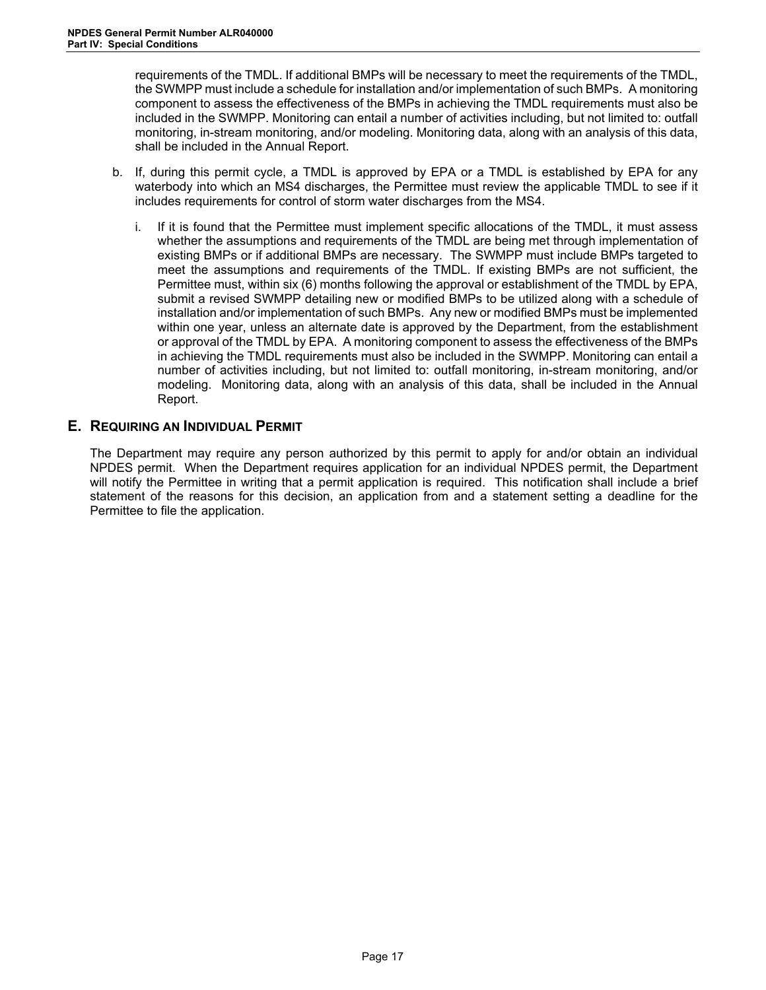requirements of the TMDL. If additional BMPs will be necessary to meet the requirements of the TMDL, the SWMPP must include a schedule for installation and/or implementation of such BMPs. A monitoring component to assess the effectiveness of the BMPs in achieving the TMDL requirements must also be included in the SWMPP. Monitoring can entail a number of activities including, but not limited to: outfall monitoring, in-stream monitoring, and/or modeling. Monitoring data, along with an analysis of this data, shall be included in the Annual Report.

- b. If, during this permit cycle, a TMDL is approved by EPA or a TMDL is established by EPA for any waterbody into which an MS4 discharges, the Permittee must review the applicable TMDL to see if it includes requirements for control of storm water discharges from the MS4.
	- i. If it is found that the Permittee must implement specific allocations of the TMDL, it must assess whether the assumptions and requirements of the TMDL are being met through implementation of existing BMPs or if additional BMPs are necessary. The SWMPP must include BMPs targeted to meet the assumptions and requirements of the TMDL. If existing BMPs are not sufficient, the Permittee must, within six (6) months following the approval or establishment of the TMDL by EPA, submit a revised SWMPP detailing new or modified BMPs to be utilized along with a schedule of installation and/or implementation of such BMPs. Any new or modified BMPs must be implemented within one year, unless an alternate date is approved by the Department, from the establishment or approval of the TMDL by EPA. A monitoring component to assess the effectiveness of the BMPs in achieving the TMDL requirements must also be included in the SWMPP. Monitoring can entail a number of activities including, but not limited to: outfall monitoring, in-stream monitoring, and/or modeling. Monitoring data, along with an analysis of this data, shall be included in the Annual Report.

### <span id="page-20-0"></span>**E. REQUIRING AN INDIVIDUAL PERMIT**

The Department may require any person authorized by this permit to apply for and/or obtain an individual NPDES permit. When the Department requires application for an individual NPDES permit, the Department will notify the Permittee in writing that a permit application is required. This notification shall include a brief statement of the reasons for this decision, an application from and a statement setting a deadline for the Permittee to file the application.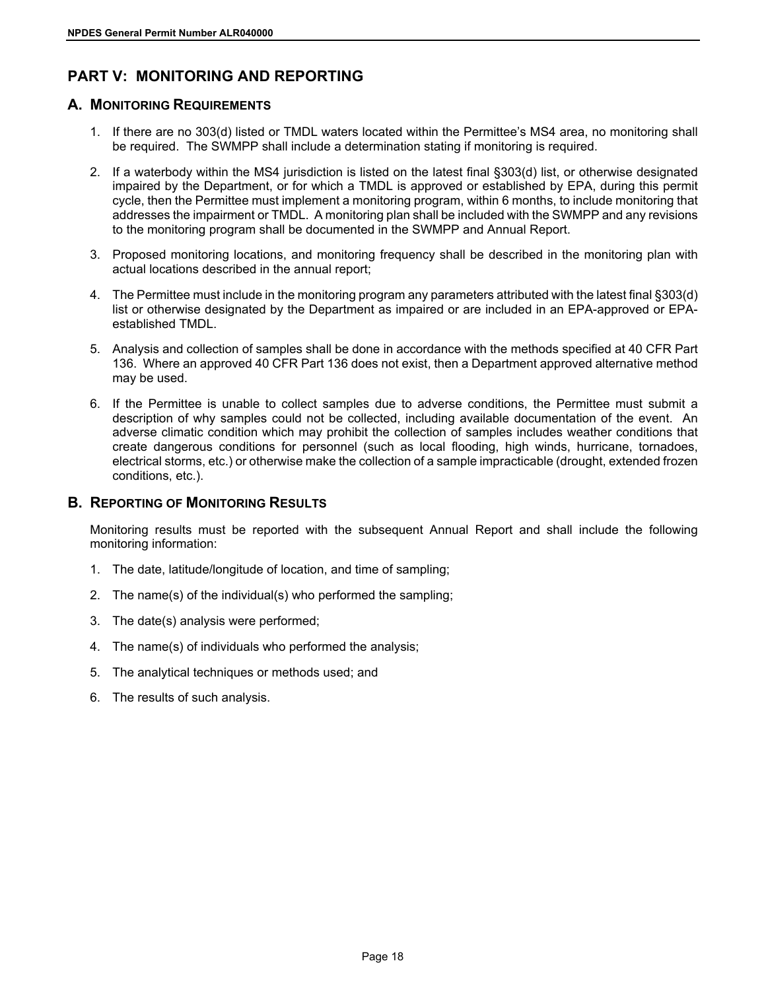# <span id="page-21-0"></span>**PART V: MONITORING AND REPORTING**

### <span id="page-21-1"></span>**A. MONITORING REQUIREMENTS**

- 1. If there are no 303(d) listed or TMDL waters located within the Permittee's MS4 area, no monitoring shall be required. The SWMPP shall include a determination stating if monitoring is required.
- 2. If a waterbody within the MS4 jurisdiction is listed on the latest final §303(d) list, or otherwise designated impaired by the Department, or for which a TMDL is approved or established by EPA, during this permit cycle, then the Permittee must implement a monitoring program, within 6 months, to include monitoring that addresses the impairment or TMDL. A monitoring plan shall be included with the SWMPP and any revisions to the monitoring program shall be documented in the SWMPP and Annual Report.
- 3. Proposed monitoring locations, and monitoring frequency shall be described in the monitoring plan with actual locations described in the annual report;
- 4. The Permittee must include in the monitoring program any parameters attributed with the latest final §303(d) list or otherwise designated by the Department as impaired or are included in an EPA-approved or EPAestablished TMDL.
- 5. Analysis and collection of samples shall be done in accordance with the methods specified at 40 CFR Part 136. Where an approved 40 CFR Part 136 does not exist, then a Department approved alternative method may be used.
- 6. If the Permittee is unable to collect samples due to adverse conditions, the Permittee must submit a description of why samples could not be collected, including available documentation of the event. An adverse climatic condition which may prohibit the collection of samples includes weather conditions that create dangerous conditions for personnel (such as local flooding, high winds, hurricane, tornadoes, electrical storms, etc.) or otherwise make the collection of a sample impracticable (drought, extended frozen conditions, etc.).

### <span id="page-21-2"></span>**B. REPORTING OF MONITORING RESULTS**

Monitoring results must be reported with the subsequent Annual Report and shall include the following monitoring information:

- 1. The date, latitude/longitude of location, and time of sampling;
- 2. The name(s) of the individual(s) who performed the sampling;
- 3. The date(s) analysis were performed;
- 4. The name(s) of individuals who performed the analysis;
- 5. The analytical techniques or methods used; and
- 6. The results of such analysis.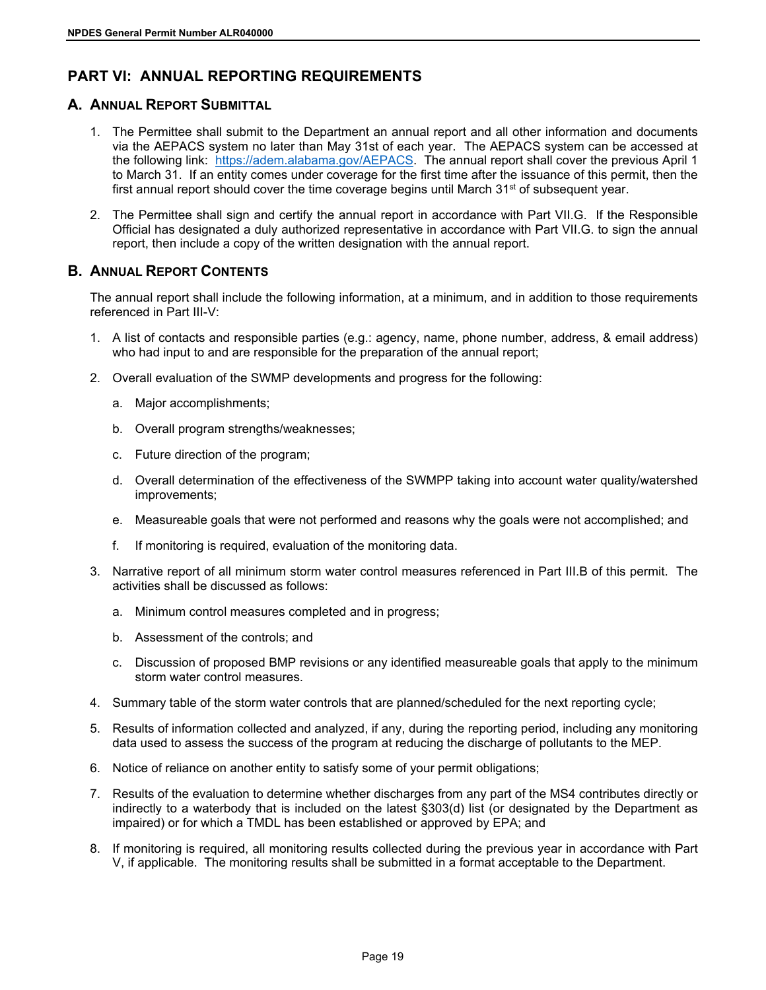# <span id="page-22-0"></span>**PART VI: ANNUAL REPORTING REQUIREMENTS**

### <span id="page-22-1"></span>**A. ANNUAL REPORT SUBMITTAL**

- 1. The Permittee shall submit to the Department an annual report and all other information and documents via the AEPACS system no later than May 31st of each year. The AEPACS system can be accessed at the following link: [https://adem.alabama.gov/AEPACS.](https://adem.alabama.gov/AEPACS) The annual report shall cover the previous April 1 to March 31. If an entity comes under coverage for the first time after the issuance of this permit, then the first annual report should cover the time coverage begins until March  $31<sup>st</sup>$  of subsequent year.
- 2. The Permittee shall sign and certify the annual report in accordance with Part VII.G. If the Responsible Official has designated a duly authorized representative in accordance with Part VII.G. to sign the annual report, then include a copy of the written designation with the annual report.

# <span id="page-22-2"></span>**B. ANNUAL REPORT CONTENTS**

The annual report shall include the following information, at a minimum, and in addition to those requirements referenced in Part III-V:

- 1. A list of contacts and responsible parties (e.g.: agency, name, phone number, address, & email address) who had input to and are responsible for the preparation of the annual report;
- 2. Overall evaluation of the SWMP developments and progress for the following:
	- a. Major accomplishments;
	- b. Overall program strengths/weaknesses;
	- c. Future direction of the program;
	- d. Overall determination of the effectiveness of the SWMPP taking into account water quality/watershed improvements;
	- e. Measureable goals that were not performed and reasons why the goals were not accomplished; and
	- f. If monitoring is required, evaluation of the monitoring data.
- 3. Narrative report of all minimum storm water control measures referenced in Part III.B of this permit. The activities shall be discussed as follows:
	- a. Minimum control measures completed and in progress;
	- b. Assessment of the controls; and
	- c. Discussion of proposed BMP revisions or any identified measureable goals that apply to the minimum storm water control measures.
- 4. Summary table of the storm water controls that are planned/scheduled for the next reporting cycle;
- 5. Results of information collected and analyzed, if any, during the reporting period, including any monitoring data used to assess the success of the program at reducing the discharge of pollutants to the MEP.
- 6. Notice of reliance on another entity to satisfy some of your permit obligations;
- 7. Results of the evaluation to determine whether discharges from any part of the MS4 contributes directly or indirectly to a waterbody that is included on the latest §303(d) list (or designated by the Department as impaired) or for which a TMDL has been established or approved by EPA; and
- 8. If monitoring is required, all monitoring results collected during the previous year in accordance with Part V, if applicable. The monitoring results shall be submitted in a format acceptable to the Department.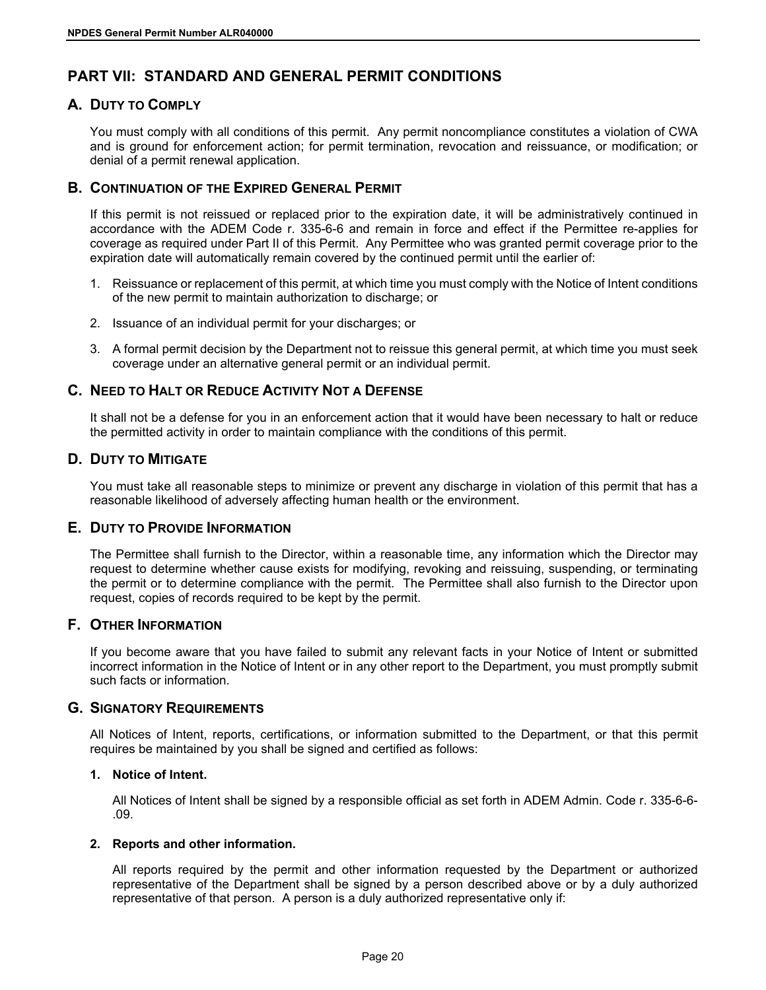# <span id="page-23-0"></span>**PART VII: STANDARD AND GENERAL PERMIT CONDITIONS**

# <span id="page-23-1"></span>**A. DUTY TO COMPLY**

You must comply with all conditions of this permit. Any permit noncompliance constitutes a violation of CWA and is ground for enforcement action; for permit termination, revocation and reissuance, or modification; or denial of a permit renewal application.

# <span id="page-23-2"></span>**B. CONTINUATION OF THE EXPIRED GENERAL PERMIT**

If this permit is not reissued or replaced prior to the expiration date, it will be administratively continued in accordance with the ADEM Code r. 335-6-6 and remain in force and effect if the Permittee re-applies for coverage as required under Part II of this Permit. Any Permittee who was granted permit coverage prior to the expiration date will automatically remain covered by the continued permit until the earlier of:

- 1. Reissuance or replacement of this permit, at which time you must comply with the Notice of Intent conditions of the new permit to maintain authorization to discharge; or
- 2. Issuance of an individual permit for your discharges; or
- 3. A formal permit decision by the Department not to reissue this general permit, at which time you must seek coverage under an alternative general permit or an individual permit.

# <span id="page-23-3"></span>**C. NEED TO HALT OR REDUCE ACTIVITY NOT A DEFENSE**

It shall not be a defense for you in an enforcement action that it would have been necessary to halt or reduce the permitted activity in order to maintain compliance with the conditions of this permit.

### <span id="page-23-4"></span>**D. DUTY TO MITIGATE**

You must take all reasonable steps to minimize or prevent any discharge in violation of this permit that has a reasonable likelihood of adversely affecting human health or the environment.

### <span id="page-23-5"></span>**E. DUTY TO PROVIDE INFORMATION**

The Permittee shall furnish to the Director, within a reasonable time, any information which the Director may request to determine whether cause exists for modifying, revoking and reissuing, suspending, or terminating the permit or to determine compliance with the permit. The Permittee shall also furnish to the Director upon request, copies of records required to be kept by the permit.

### <span id="page-23-6"></span>**F. OTHER INFORMATION**

If you become aware that you have failed to submit any relevant facts in your Notice of Intent or submitted incorrect information in the Notice of Intent or in any other report to the Department, you must promptly submit such facts or information.

### <span id="page-23-7"></span>**G. SIGNATORY REQUIREMENTS**

All Notices of Intent, reports, certifications, or information submitted to the Department, or that this permit requires be maintained by you shall be signed and certified as follows:

### <span id="page-23-8"></span>**1. Notice of Intent.**

All Notices of Intent shall be signed by a responsible official as set forth in ADEM Admin. Code r. 335-6-6- .09.

### <span id="page-23-9"></span>**2. Reports and other information.**

All reports required by the permit and other information requested by the Department or authorized representative of the Department shall be signed by a person described above or by a duly authorized representative of that person. A person is a duly authorized representative only if: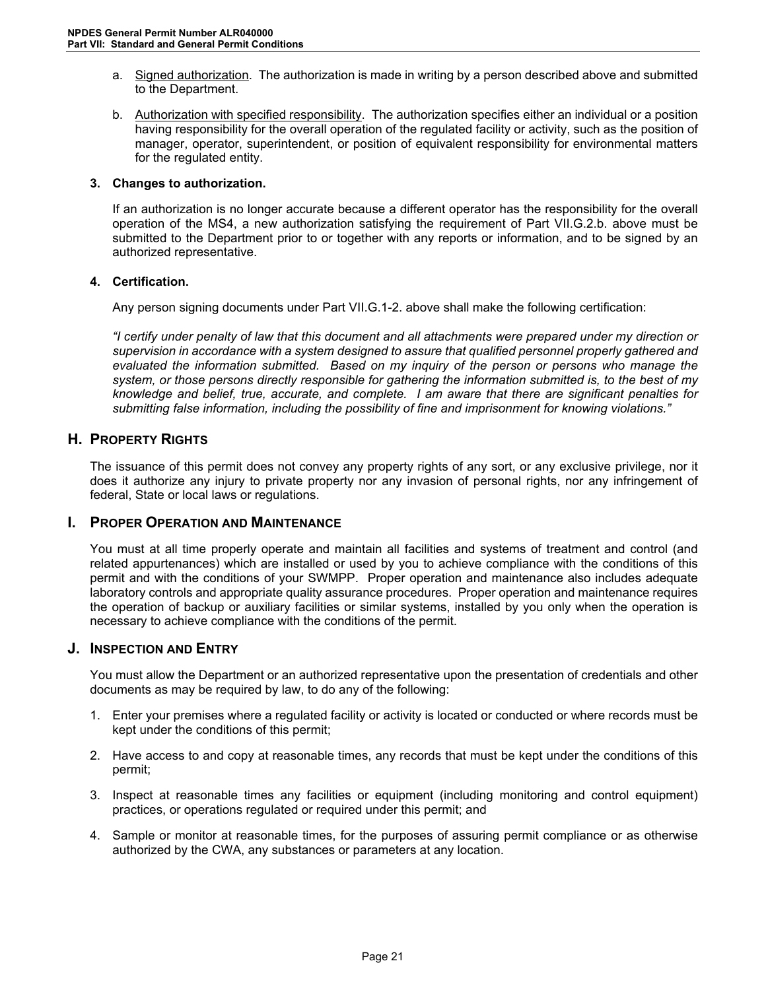- a. Signed authorization. The authorization is made in writing by a person described above and submitted to the Department.
- b. Authorization with specified responsibility. The authorization specifies either an individual or a position having responsibility for the overall operation of the regulated facility or activity, such as the position of manager, operator, superintendent, or position of equivalent responsibility for environmental matters for the regulated entity.

### <span id="page-24-0"></span>**3. Changes to authorization.**

If an authorization is no longer accurate because a different operator has the responsibility for the overall operation of the MS4, a new authorization satisfying the requirement of Part VII.G.2.b. above must be submitted to the Department prior to or together with any reports or information, and to be signed by an authorized representative.

### <span id="page-24-1"></span>**4. Certification.**

Any person signing documents under Part VII.G.1-2. above shall make the following certification:

*"I certify under penalty of law that this document and all attachments were prepared under my direction or supervision in accordance with a system designed to assure that qualified personnel properly gathered and evaluated the information submitted. Based on my inquiry of the person or persons who manage the system, or those persons directly responsible for gathering the information submitted is, to the best of my knowledge and belief, true, accurate, and complete. I am aware that there are significant penalties for submitting false information, including the possibility of fine and imprisonment for knowing violations."*

### <span id="page-24-2"></span>**H. PROPERTY RIGHTS**

The issuance of this permit does not convey any property rights of any sort, or any exclusive privilege, nor it does it authorize any injury to private property nor any invasion of personal rights, nor any infringement of federal, State or local laws or regulations.

### <span id="page-24-3"></span>**I. PROPER OPERATION AND MAINTENANCE**

You must at all time properly operate and maintain all facilities and systems of treatment and control (and related appurtenances) which are installed or used by you to achieve compliance with the conditions of this permit and with the conditions of your SWMPP. Proper operation and maintenance also includes adequate laboratory controls and appropriate quality assurance procedures. Proper operation and maintenance requires the operation of backup or auxiliary facilities or similar systems, installed by you only when the operation is necessary to achieve compliance with the conditions of the permit.

### <span id="page-24-4"></span>**J. INSPECTION AND ENTRY**

You must allow the Department or an authorized representative upon the presentation of credentials and other documents as may be required by law, to do any of the following:

- 1. Enter your premises where a regulated facility or activity is located or conducted or where records must be kept under the conditions of this permit;
- 2. Have access to and copy at reasonable times, any records that must be kept under the conditions of this permit;
- 3. Inspect at reasonable times any facilities or equipment (including monitoring and control equipment) practices, or operations regulated or required under this permit; and
- 4. Sample or monitor at reasonable times, for the purposes of assuring permit compliance or as otherwise authorized by the CWA, any substances or parameters at any location.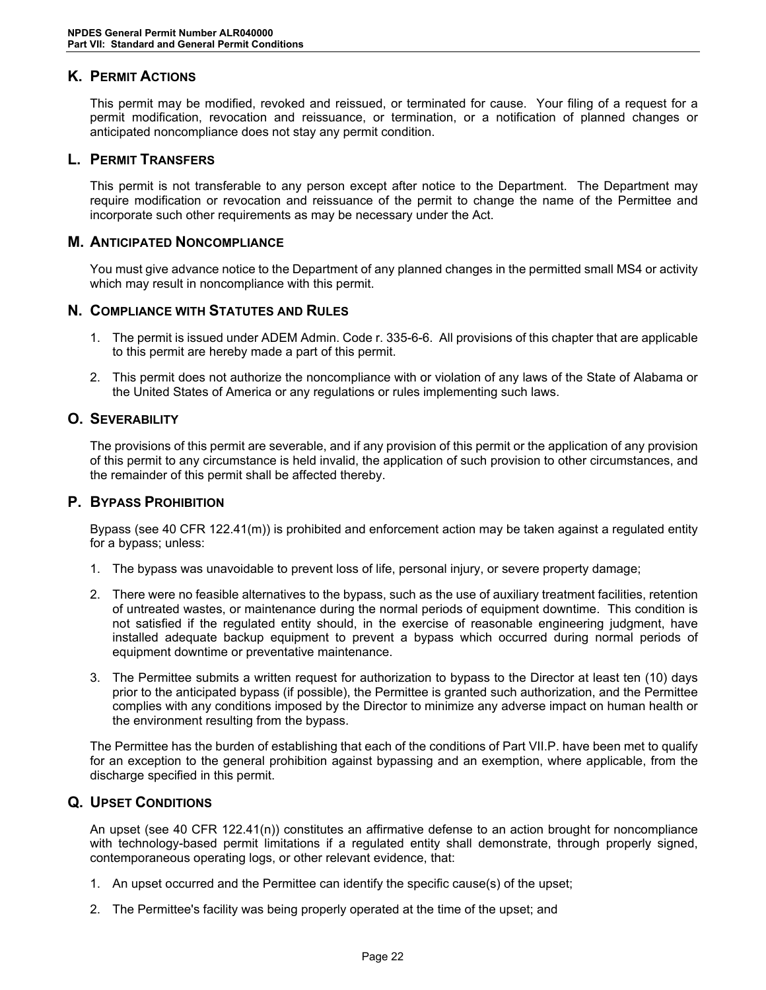# <span id="page-25-0"></span>**K. PERMIT ACTIONS**

This permit may be modified, revoked and reissued, or terminated for cause. Your filing of a request for a permit modification, revocation and reissuance, or termination, or a notification of planned changes or anticipated noncompliance does not stay any permit condition.

### <span id="page-25-1"></span>**L. PERMIT TRANSFERS**

This permit is not transferable to any person except after notice to the Department. The Department may require modification or revocation and reissuance of the permit to change the name of the Permittee and incorporate such other requirements as may be necessary under the Act.

### <span id="page-25-2"></span>**M. ANTICIPATED NONCOMPLIANCE**

You must give advance notice to the Department of any planned changes in the permitted small MS4 or activity which may result in noncompliance with this permit.

### <span id="page-25-3"></span>**N. COMPLIANCE WITH STATUTES AND RULES**

- 1. The permit is issued under ADEM Admin. Code r. 335-6-6. All provisions of this chapter that are applicable to this permit are hereby made a part of this permit.
- 2. This permit does not authorize the noncompliance with or violation of any laws of the State of Alabama or the United States of America or any regulations or rules implementing such laws.

### <span id="page-25-4"></span>**O. SEVERABILITY**

The provisions of this permit are severable, and if any provision of this permit or the application of any provision of this permit to any circumstance is held invalid, the application of such provision to other circumstances, and the remainder of this permit shall be affected thereby.

### <span id="page-25-5"></span>**P. BYPASS PROHIBITION**

Bypass (see 40 CFR 122.41(m)) is prohibited and enforcement action may be taken against a regulated entity for a bypass; unless:

- 1. The bypass was unavoidable to prevent loss of life, personal injury, or severe property damage;
- 2. There were no feasible alternatives to the bypass, such as the use of auxiliary treatment facilities, retention of untreated wastes, or maintenance during the normal periods of equipment downtime. This condition is not satisfied if the regulated entity should, in the exercise of reasonable engineering judgment, have installed adequate backup equipment to prevent a bypass which occurred during normal periods of equipment downtime or preventative maintenance.
- 3. The Permittee submits a written request for authorization to bypass to the Director at least ten (10) days prior to the anticipated bypass (if possible), the Permittee is granted such authorization, and the Permittee complies with any conditions imposed by the Director to minimize any adverse impact on human health or the environment resulting from the bypass.

The Permittee has the burden of establishing that each of the conditions of Part VII.P. have been met to qualify for an exception to the general prohibition against bypassing and an exemption, where applicable, from the discharge specified in this permit.

### <span id="page-25-6"></span>**Q. UPSET CONDITIONS**

An upset (see 40 CFR 122.41(n)) constitutes an affirmative defense to an action brought for noncompliance with technology-based permit limitations if a regulated entity shall demonstrate, through properly signed, contemporaneous operating logs, or other relevant evidence, that:

- 1. An upset occurred and the Permittee can identify the specific cause(s) of the upset;
- 2. The Permittee's facility was being properly operated at the time of the upset; and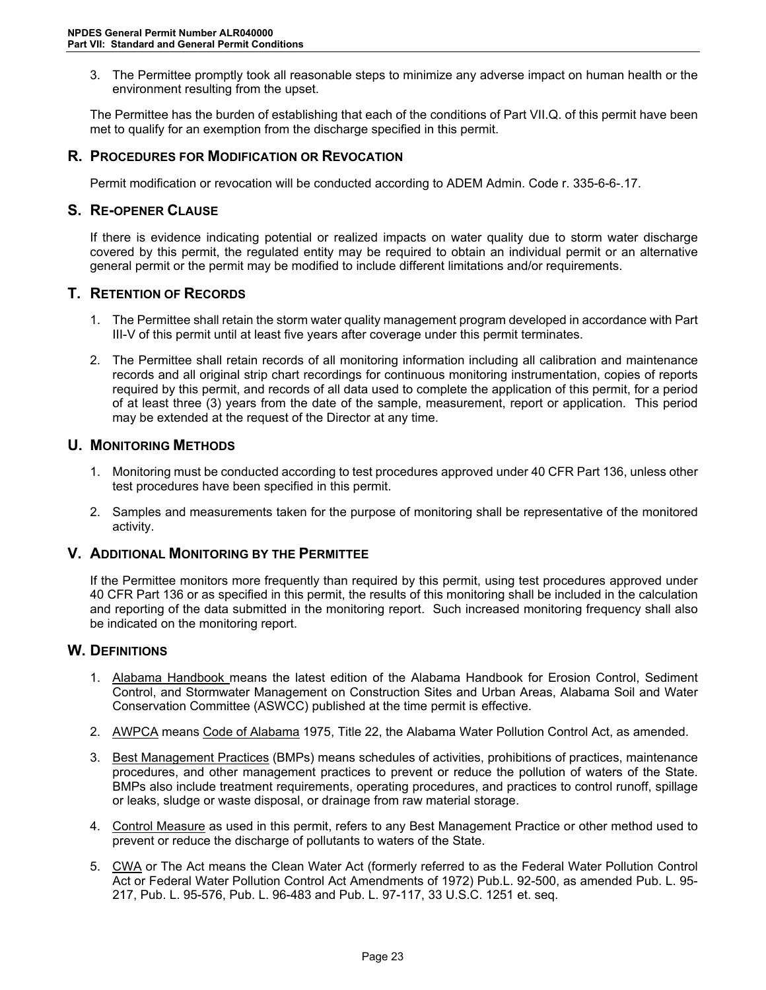3. The Permittee promptly took all reasonable steps to minimize any adverse impact on human health or the environment resulting from the upset.

The Permittee has the burden of establishing that each of the conditions of Part VII.Q. of this permit have been met to qualify for an exemption from the discharge specified in this permit.

### <span id="page-26-0"></span>**R. PROCEDURES FOR MODIFICATION OR REVOCATION**

Permit modification or revocation will be conducted according to ADEM Admin. Code r. 335-6-6-.17.

### <span id="page-26-1"></span>**S. RE-OPENER CLAUSE**

If there is evidence indicating potential or realized impacts on water quality due to storm water discharge covered by this permit, the regulated entity may be required to obtain an individual permit or an alternative general permit or the permit may be modified to include different limitations and/or requirements.

### <span id="page-26-2"></span>**T. RETENTION OF RECORDS**

- 1. The Permittee shall retain the storm water quality management program developed in accordance with Part III-V of this permit until at least five years after coverage under this permit terminates.
- 2. The Permittee shall retain records of all monitoring information including all calibration and maintenance records and all original strip chart recordings for continuous monitoring instrumentation, copies of reports required by this permit, and records of all data used to complete the application of this permit, for a period of at least three (3) years from the date of the sample, measurement, report or application. This period may be extended at the request of the Director at any time.

### <span id="page-26-3"></span>**U. MONITORING METHODS**

- 1. Monitoring must be conducted according to test procedures approved under 40 CFR Part 136, unless other test procedures have been specified in this permit.
- 2. Samples and measurements taken for the purpose of monitoring shall be representative of the monitored activity.

### <span id="page-26-4"></span>**V. ADDITIONAL MONITORING BY THE PERMITTEE**

If the Permittee monitors more frequently than required by this permit, using test procedures approved under 40 CFR Part 136 or as specified in this permit, the results of this monitoring shall be included in the calculation and reporting of the data submitted in the monitoring report. Such increased monitoring frequency shall also be indicated on the monitoring report.

### <span id="page-26-5"></span>**W. DEFINITIONS**

- 1. Alabama Handbook means the latest edition of the Alabama Handbook for Erosion Control, Sediment Control, and Stormwater Management on Construction Sites and Urban Areas, Alabama Soil and Water Conservation Committee (ASWCC) published at the time permit is effective.
- 2. AWPCA means Code of Alabama 1975, Title 22, the Alabama Water Pollution Control Act, as amended.
- 3. Best Management Practices (BMPs) means schedules of activities, prohibitions of practices, maintenance procedures, and other management practices to prevent or reduce the pollution of waters of the State. BMPs also include treatment requirements, operating procedures, and practices to control runoff, spillage or leaks, sludge or waste disposal, or drainage from raw material storage.
- 4. Control Measure as used in this permit, refers to any Best Management Practice or other method used to prevent or reduce the discharge of pollutants to waters of the State.
- 5. CWA or The Act means the Clean Water Act (formerly referred to as the Federal Water Pollution Control Act or Federal Water Pollution Control Act Amendments of 1972) Pub.L. 92-500, as amended Pub. L. 95- 217, Pub. L. 95-576, Pub. L. 96-483 and Pub. L. 97-117, 33 U.S.C. 1251 et. seq.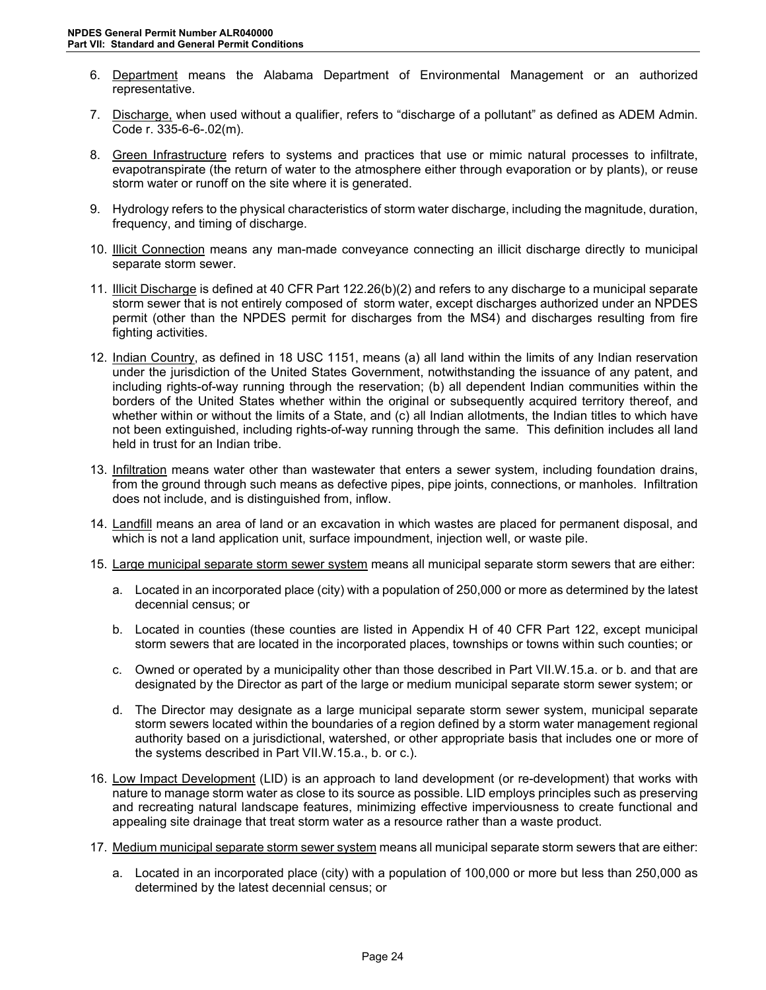- 6. Department means the Alabama Department of Environmental Management or an authorized representative.
- 7. Discharge, when used without a qualifier, refers to "discharge of a pollutant" as defined as ADEM Admin. Code r. 335-6-6-.02(m).
- 8. Green Infrastructure refers to systems and practices that use or mimic natural processes to infiltrate, evapotranspirate (the return of water to the atmosphere either through evaporation or by plants), or reuse storm water or runoff on the site where it is generated.
- 9. Hydrology refers to the physical characteristics of storm water discharge, including the magnitude, duration, frequency, and timing of discharge.
- 10. Illicit Connection means any man-made conveyance connecting an illicit discharge directly to municipal separate storm sewer.
- 11. Illicit Discharge is defined at 40 CFR Part 122.26(b)(2) and refers to any discharge to a municipal separate storm sewer that is not entirely composed of storm water, except discharges authorized under an NPDES permit (other than the NPDES permit for discharges from the MS4) and discharges resulting from fire fighting activities.
- 12. Indian Country, as defined in 18 USC 1151, means (a) all land within the limits of any Indian reservation under the jurisdiction of the United States Government, notwithstanding the issuance of any patent, and including rights-of-way running through the reservation; (b) all dependent Indian communities within the borders of the United States whether within the original or subsequently acquired territory thereof, and whether within or without the limits of a State, and (c) all Indian allotments, the Indian titles to which have not been extinguished, including rights-of-way running through the same. This definition includes all land held in trust for an Indian tribe.
- 13. Infiltration means water other than wastewater that enters a sewer system, including foundation drains, from the ground through such means as defective pipes, pipe joints, connections, or manholes. Infiltration does not include, and is distinguished from, inflow.
- 14. Landfill means an area of land or an excavation in which wastes are placed for permanent disposal, and which is not a land application unit, surface impoundment, injection well, or waste pile.
- 15. Large municipal separate storm sewer system means all municipal separate storm sewers that are either:
	- a. Located in an incorporated place (city) with a population of 250,000 or more as determined by the latest decennial census; or
	- b. Located in counties (these counties are listed in Appendix H of 40 CFR Part 122, except municipal storm sewers that are located in the incorporated places, townships or towns within such counties; or
	- c. Owned or operated by a municipality other than those described in Part VII.W.15.a. or b. and that are designated by the Director as part of the large or medium municipal separate storm sewer system; or
	- d. The Director may designate as a large municipal separate storm sewer system, municipal separate storm sewers located within the boundaries of a region defined by a storm water management regional authority based on a jurisdictional, watershed, or other appropriate basis that includes one or more of the systems described in Part VII.W.15.a., b. or c.).
- 16. Low Impact Development (LID) is an approach to land development (or re-development) that works with nature to manage storm water as close to its source as possible. LID employs principles such as preserving and recreating natural landscape features, minimizing effective imperviousness to create functional and appealing site drainage that treat storm water as a resource rather than a waste product.
- 17. Medium municipal separate storm sewer system means all municipal separate storm sewers that are either:
	- a. Located in an incorporated place (city) with a population of 100,000 or more but less than 250,000 as determined by the latest decennial census; or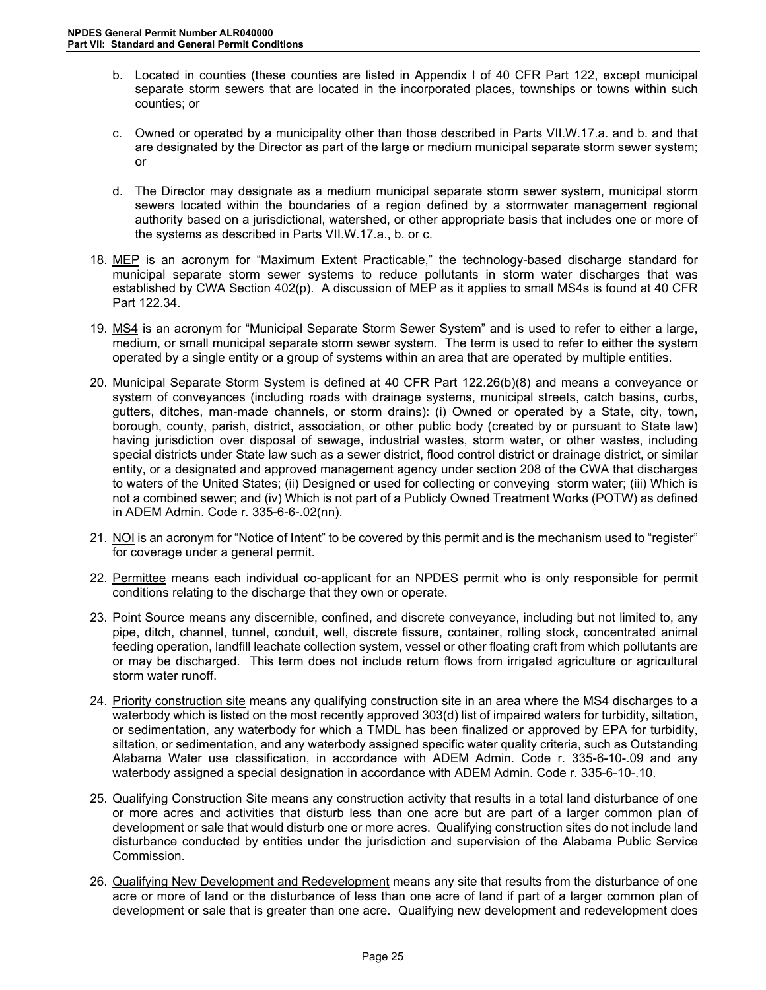- b. Located in counties (these counties are listed in Appendix I of 40 CFR Part 122, except municipal separate storm sewers that are located in the incorporated places, townships or towns within such counties; or
- c. Owned or operated by a municipality other than those described in Parts VII.W.17.a. and b. and that are designated by the Director as part of the large or medium municipal separate storm sewer system; or
- d. The Director may designate as a medium municipal separate storm sewer system, municipal storm sewers located within the boundaries of a region defined by a stormwater management regional authority based on a jurisdictional, watershed, or other appropriate basis that includes one or more of the systems as described in Parts VII.W.17.a., b. or c.
- 18. MEP is an acronym for "Maximum Extent Practicable," the technology-based discharge standard for municipal separate storm sewer systems to reduce pollutants in storm water discharges that was established by CWA Section 402(p). A discussion of MEP as it applies to small MS4s is found at 40 CFR Part 122.34.
- 19. MS4 is an acronym for "Municipal Separate Storm Sewer System" and is used to refer to either a large, medium, or small municipal separate storm sewer system. The term is used to refer to either the system operated by a single entity or a group of systems within an area that are operated by multiple entities.
- 20. Municipal Separate Storm System is defined at 40 CFR Part 122.26(b)(8) and means a conveyance or system of conveyances (including roads with drainage systems, municipal streets, catch basins, curbs, gutters, ditches, man-made channels, or storm drains): (i) Owned or operated by a State, city, town, borough, county, parish, district, association, or other public body (created by or pursuant to State law) having jurisdiction over disposal of sewage, industrial wastes, storm water, or other wastes, including special districts under State law such as a sewer district, flood control district or drainage district, or similar entity, or a designated and approved management agency under section 208 of the CWA that discharges to waters of the United States; (ii) Designed or used for collecting or conveying storm water; (iii) Which is not a combined sewer; and (iv) Which is not part of a Publicly Owned Treatment Works (POTW) as defined in ADEM Admin. Code r. 335-6-6-.02(nn).
- 21. NOI is an acronym for "Notice of Intent" to be covered by this permit and is the mechanism used to "register" for coverage under a general permit.
- 22. Permittee means each individual co-applicant for an NPDES permit who is only responsible for permit conditions relating to the discharge that they own or operate.
- 23. Point Source means any discernible, confined, and discrete conveyance, including but not limited to, any pipe, ditch, channel, tunnel, conduit, well, discrete fissure, container, rolling stock, concentrated animal feeding operation, landfill leachate collection system, vessel or other floating craft from which pollutants are or may be discharged. This term does not include return flows from irrigated agriculture or agricultural storm water runoff.
- 24. Priority construction site means any qualifying construction site in an area where the MS4 discharges to a waterbody which is listed on the most recently approved 303(d) list of impaired waters for turbidity, siltation, or sedimentation, any waterbody for which a TMDL has been finalized or approved by EPA for turbidity, siltation, or sedimentation, and any waterbody assigned specific water quality criteria, such as Outstanding Alabama Water use classification, in accordance with ADEM Admin. Code r. 335-6-10-.09 and any waterbody assigned a special designation in accordance with ADEM Admin. Code r. 335-6-10-.10.
- 25. Qualifying Construction Site means any construction activity that results in a total land disturbance of one or more acres and activities that disturb less than one acre but are part of a larger common plan of development or sale that would disturb one or more acres. Qualifying construction sites do not include land disturbance conducted by entities under the jurisdiction and supervision of the Alabama Public Service Commission.
- 26. Qualifying New Development and Redevelopment means any site that results from the disturbance of one acre or more of land or the disturbance of less than one acre of land if part of a larger common plan of development or sale that is greater than one acre. Qualifying new development and redevelopment does